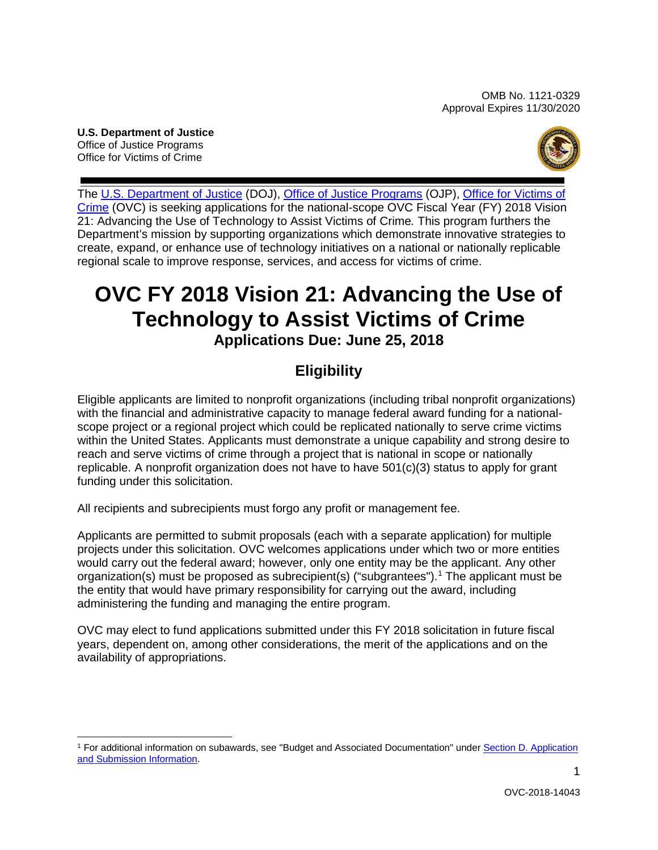OMB No. 1121-0329 Approval Expires 11/30/2020

**U.S. Department of Justice**  Office of Justice Programs Office for Victims of Crime



 regional scale to improve response, services, and access for victims of crime. The [U.S. Department of Justice \(](http://www.usdoj.gov/)DOJ), [Office of Justice Programs \(](http://www.ojp.gov/)OJP), Office for Victims of [Crime \(](http://www.ovc.gov/)OVC) is seeking applications for the national-scope OVC Fiscal Year (FY) 2018 Vision 21: Advancing the Use of Technology to Assist Victims of Crime*.* This program furthers the Department's mission by supporting organizations which demonstrate innovative strategies to create, expand, or enhance use of technology initiatives on a national or nationally replicable

# **OVC FY 2018 Vision 21: Advancing the Use of Technology to Assist Victims of Crime Applications Due: June 25, 2018**

# **Eligibility**

 scope project or a regional project which could be replicated nationally to serve crime victims funding under this solicitation. Eligible applicants are limited to nonprofit organizations (including tribal nonprofit organizations) with the financial and administrative capacity to manage federal award funding for a nationalwithin the United States. Applicants must demonstrate a unique capability and strong desire to reach and serve victims of crime through a project that is national in scope or nationally replicable. A nonprofit organization does not have to have 501(c)(3) status to apply for grant

funding under this solicitation.<br>All recipients and subrecipients must forgo any profit or management fee.

 projects under this solicitation. OVC welcomes applications under which two or more entities would carry out the federal award; however, only one entity may be the applicant. Any other organization(s) must be proposed as subrecipient(s) ("subgrantees").<sup>1</sup> The applicant must be the entity that would have primary responsibility for carrying out the award, including Applicants are permitted to submit proposals (each with a separate application) for multiple administering the funding and managing the entire program.

 years, dependent on, among other considerations, the merit of the applications and on the OVC may elect to fund applications submitted under this FY 2018 solicitation in future fiscal availability of appropriations.

<span id="page-0-0"></span><sup>-</sup>1 For additional information on subawards, see "Budget and Associated Documentation" under [Section D. Application](#page-8-0)  [and Submission Information.](#page-8-0)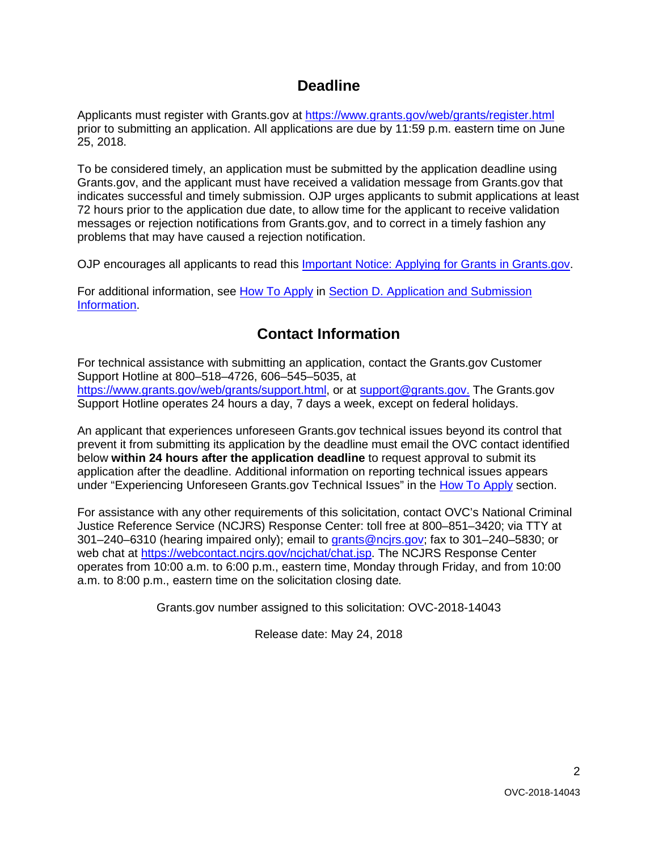# **Deadline**

Applicants must register with Grants.gov at<https://www.grants.gov/web/grants/register.html> prior to submitting an application. All applications are due by 11:59 p.m. eastern time on June 25, 2018.

 Grants.gov, and the applicant must have received a validation message from Grants.gov that indicates successful and timely submission. OJP urges applicants to submit applications at least 72 hours prior to the application due date, to allow time for the applicant to receive validation messages or rejection notifications from Grants.gov, and to correct in a timely fashion any To be considered timely, an application must be submitted by the application deadline using problems that may have caused a rejection notification.

OJP encourages all applicants to read this [Important Notice: Applying for Grants in Grants.gov.](https://ojp.gov/funding/Apply/Grants-govInfo.htm)

For additional information, see [How To Apply](#page-23-0) in [Section D. Application and Submission](#page-8-0)  [Information.](#page-8-0)

# **Contact Information**

 For technical assistance with submitting an application, contact the Grants.gov Customer [https://www.grants.gov/web/grants/support.html,](https://www.grants.gov/web/grants/support.html) or at [support@grants.gov.](mailto:support@grants.gov) The Grants.gov Support Hotline operates 24 hours a day, 7 days a week, except on federal holidays. Support Hotline at 800–518–4726, 606–545–5035, at

Support Hotline operates 24 hours a day, 7 days a week, except on federal holidays.<br>An applicant that experiences unforeseen Grants.gov technical issues beyond its control that prevent it from submitting its application by the deadline must email the OVC contact identified below **within 24 hours after the application deadline** to request approval to submit its application after the deadline. Additional information on reporting technical issues appears under "Experiencing Unforeseen Grants.gov Technical Issues" in the [How To Apply](#page-23-0) section.

 For assistance with any other requirements of this solicitation, contact OVC's National Criminal Justice Reference Service (NCJRS) Response Center: toll free at 800–851–3420; via TTY at 301–240–6310 (hearing impaired only); email to **grants@ncjrs.gov;** fax to 301–240–5830; or web chat at [https://webcontact.ncjrs.gov/ncjchat/chat.jsp.](https://webcontact.ncjrs.gov/ncjchat/chat.jsp) The NCJRS Response Center operates from 10:00 a.m. to 6:00 p.m., eastern time, Monday through Friday, and from 10:00 a.m. to 8:00 p.m., eastern time on the solicitation closing date*.* 

Grants.gov number assigned to this solicitation: OVC-2018-14043

Release date: May 24, 2018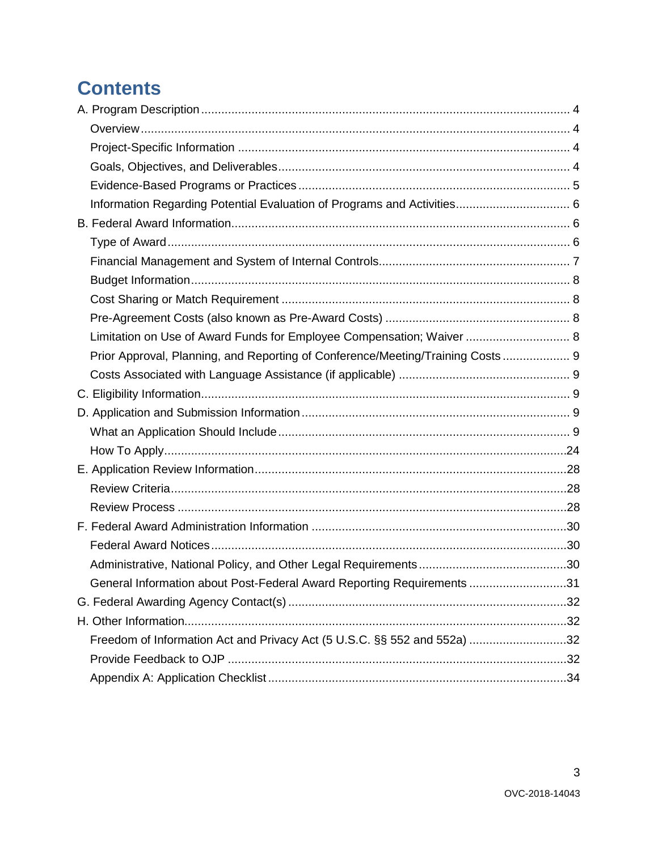# **Contents**

| Limitation on Use of Award Funds for Employee Compensation; Waiver  8          |  |
|--------------------------------------------------------------------------------|--|
| Prior Approval, Planning, and Reporting of Conference/Meeting/Training Costs 9 |  |
|                                                                                |  |
|                                                                                |  |
|                                                                                |  |
|                                                                                |  |
|                                                                                |  |
|                                                                                |  |
|                                                                                |  |
|                                                                                |  |
|                                                                                |  |
|                                                                                |  |
|                                                                                |  |
| General Information about Post-Federal Award Reporting Requirements 31         |  |
|                                                                                |  |
|                                                                                |  |
| Freedom of Information Act and Privacy Act (5 U.S.C. §§ 552 and 552a) 32       |  |
|                                                                                |  |
|                                                                                |  |

 $\mathbf{3}$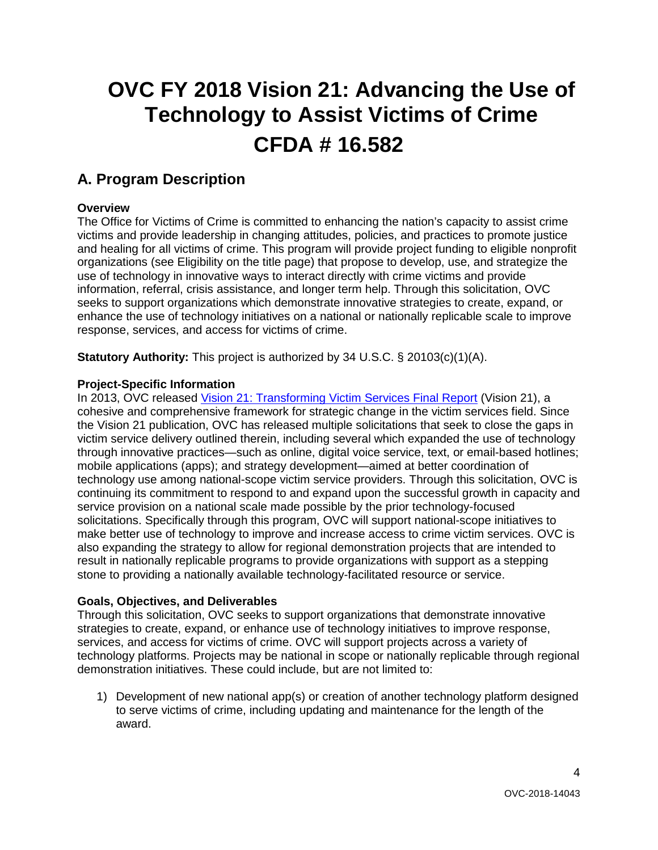# **OVC FY 2018 Vision 21: Advancing the Use of Technology to Assist Victims of Crime CFDA # 16.582**

# <span id="page-3-0"></span>**A. Program Description**

# <span id="page-3-1"></span>**Overview**

 The Office for Victims of Crime is committed to enhancing the nation's capacity to assist crime victims and provide leadership in changing attitudes, policies, and practices to promote justice information, referral, crisis assistance, and longer term help. Through this solicitation, OVC and healing for all victims of crime. This program will provide project funding to eligible nonprofit organizations (see Eligibility on the title page) that propose to develop, use, and strategize the use of technology in innovative ways to interact directly with crime victims and provide seeks to support organizations which demonstrate innovative strategies to create, expand, or enhance the use of technology initiatives on a national or nationally replicable scale to improve response, services, and access for victims of crime.

**Statutory Authority:** This project is authorized by 34 U.S.C. § 20103(c)(1)(A).

## <span id="page-3-2"></span>**Project-Specific Information**

 victim service delivery outlined therein, including several which expanded the use of technology solicitations. Specifically through this program, OVC will support national-scope initiatives to also expanding the strategy to allow for regional demonstration projects that are intended to In 2013, OVC released [Vision 21: Transforming Victim Services Final Report](https://ovc.ncjrs.gov/vision21/pdfs/Vision21_Report.pdf) (Vision 21), a cohesive and comprehensive framework for strategic change in the victim services field. Since the Vision 21 publication, OVC has released multiple solicitations that seek to close the gaps in through innovative practices—such as online, digital voice service, text, or email-based hotlines; mobile applications (apps); and strategy development—aimed at better coordination of technology use among national-scope victim service providers. Through this solicitation, OVC is continuing its commitment to respond to and expand upon the successful growth in capacity and service provision on a national scale made possible by the prior technology-focused make better use of technology to improve and increase access to crime victim services. OVC is result in nationally replicable programs to provide organizations with support as a stepping stone to providing a nationally available technology-facilitated resource or service.

#### <span id="page-3-3"></span>**Goals, Objectives, and Deliverables**

 services, and access for victims of crime. OVC will support projects across a variety of technology platforms. Projects may be national in scope or nationally replicable through regional Through this solicitation, OVC seeks to support organizations that demonstrate innovative strategies to create, expand, or enhance use of technology initiatives to improve response, demonstration initiatives. These could include, but are not limited to:

 1) Development of new national app(s) or creation of another technology platform designed to serve victims of crime, including updating and maintenance for the length of the award.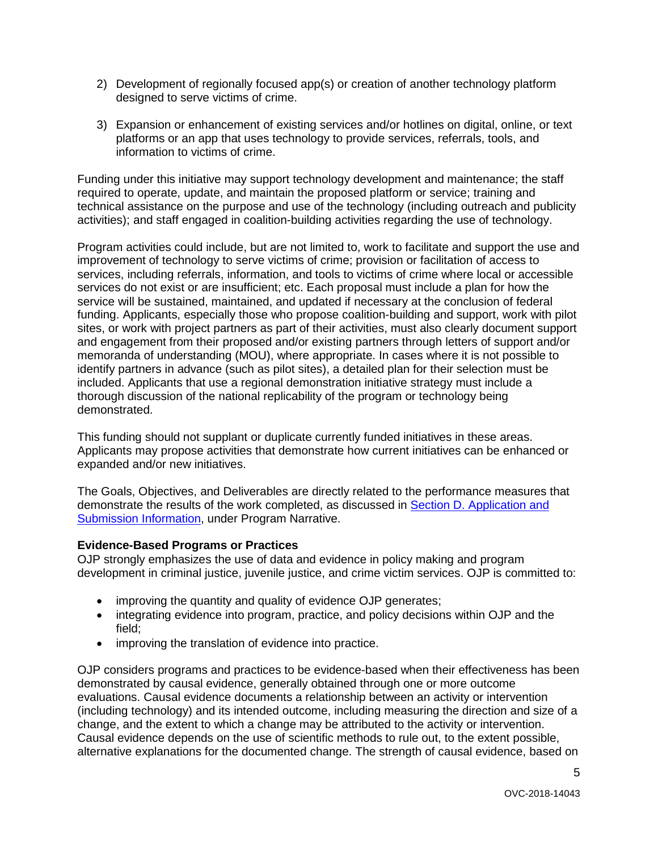- 2) Development of regionally focused app(s) or creation of another technology platform designed to serve victims of crime.
- 3) Expansion or enhancement of existing services and/or hotlines on digital, online, or text platforms or an app that uses technology to provide services, referrals, tools, and information to victims of crime.

Funding under this initiative may support technology development and maintenance; the staff required to operate, update, and maintain the proposed platform or service; training and technical assistance on the purpose and use of the technology (including outreach and publicity activities); and staff engaged in coalition-building activities regarding the use of technology.

 services, including referrals, information, and tools to victims of crime where local or accessible sites, or work with project partners as part of their activities, must also clearly document support and engagement from their proposed and/or existing partners through letters of support and/or thorough discussion of the national replicability of the program or technology being Program activities could include, but are not limited to, work to facilitate and support the use and improvement of technology to serve victims of crime; provision or facilitation of access to services do not exist or are insufficient; etc. Each proposal must include a plan for how the service will be sustained, maintained, and updated if necessary at the conclusion of federal funding. Applicants, especially those who propose coalition-building and support, work with pilot memoranda of understanding (MOU), where appropriate. In cases where it is not possible to identify partners in advance (such as pilot sites), a detailed plan for their selection must be included. Applicants that use a regional demonstration initiative strategy must include a demonstrated.

This funding should not supplant or duplicate currently funded initiatives in these areas. Applicants may propose activities that demonstrate how current initiatives can be enhanced or expanded and/or new initiatives.

 The Goals, Objectives, and Deliverables are directly related to the performance measures that demonstrate the results of the work completed, as discussed in [Section D. Application and](#page-8-0)  [Submission Information,](#page-8-0) under Program Narrative.

#### <span id="page-4-0"></span>**Evidence-Based Programs or Practices**

OJP strongly emphasizes the use of data and evidence in policy making and program development in criminal justice, juvenile justice, and crime victim services. OJP is committed to:

- improving the quantity and quality of evidence OJP generates;
- integrating evidence into program, practice, and policy decisions within OJP and the field;
- improving the translation of evidence into practice.

 alternative explanations for the documented change. The strength of causal evidence, based on OJP considers programs and practices to be evidence-based when their effectiveness has been demonstrated by causal evidence, generally obtained through one or more outcome evaluations. Causal evidence documents a relationship between an activity or intervention (including technology) and its intended outcome, including measuring the direction and size of a change, and the extent to which a change may be attributed to the activity or intervention. Causal evidence depends on the use of scientific methods to rule out, to the extent possible,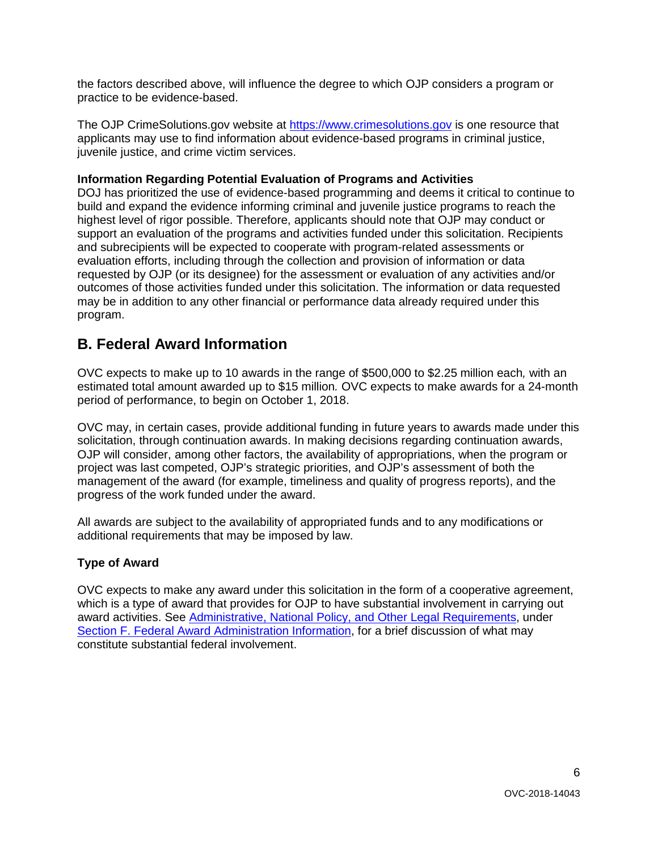the factors described above, will influence the degree to which OJP considers a program or practice to be evidence-based.

The OJP CrimeSolutions.gov website at <u>https://www.crimesolutions.gov</u> is one resource that applicants may use to find information about evidence-based programs in criminal justice, juvenile justice, and crime victim services.

#### <span id="page-5-0"></span>**Information Regarding Potential Evaluation of Programs and Activities**

 highest level of rigor possible. Therefore, applicants should note that OJP may conduct or requested by OJP (or its designee) for the assessment or evaluation of any activities and/or may be in addition to any other financial or performance data already required under this DOJ has prioritized the use of evidence-based programming and deems it critical to continue to build and expand the evidence informing criminal and juvenile justice programs to reach the support an evaluation of the programs and activities funded under this solicitation. Recipients and subrecipients will be expected to cooperate with program-related assessments or evaluation efforts, including through the collection and provision of information or data outcomes of those activities funded under this solicitation. The information or data requested program.

# <span id="page-5-1"></span> **B. Federal Award Information**

 OVC expects to make up to 10 awards in the range of \$500,000 to \$2.25 million each*,* with an estimated total amount awarded up to \$15 million*.* OVC expects to make awards for a 24-month period of performance, to begin on October 1, 2018.

 solicitation, through continuation awards. In making decisions regarding continuation awards, OJP will consider, among other factors, the availability of appropriations, when the program or OVC may, in certain cases, provide additional funding in future years to awards made under this project was last competed, OJP's strategic priorities, and OJP's assessment of both the management of the award (for example, timeliness and quality of progress reports), and the progress of the work funded under the award.

 All awards are subject to the availability of appropriated funds and to any modifications or additional requirements that may be imposed by law.

# <span id="page-5-2"></span>**Type of Award**

 OVC expects to make any award under this solicitation in the form of a cooperative agreement, which is a type of award that provides for OJP to have substantial involvement in carrying out award activities. See [Administrative, National Policy, and Other Legal Requirements,](#page-29-2) under [Section F. Federal Award Administration Information,](#page-29-0) for a brief discussion of what may constitute substantial federal involvement.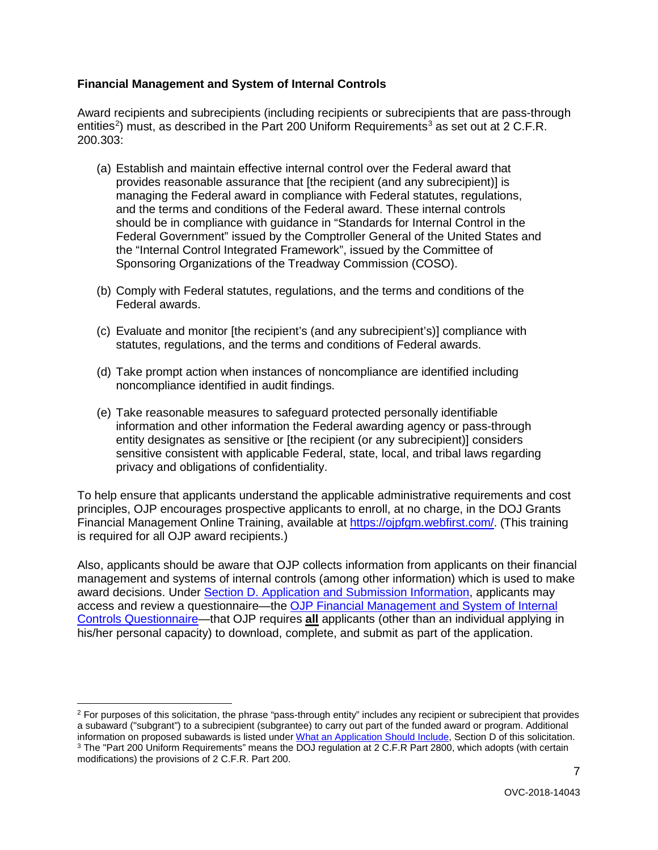# <span id="page-6-0"></span> **Financial Management and System of Internal Controls**

Award recipients and subrecipients (including recipients or subrecipients that are pass-through entities<sup>[2](#page-6-1)</sup>) must, as described in the Part 200 Uniform Requirements<sup>[3](#page-6-2)</sup> as set out at 2 C.F.R. 200.303:

- and the terms and conditions of the Federal award. These internal controls Federal Government" issued by the Comptroller General of the United States and Sponsoring Organizations of the Treadway Commission (COSO). (a) Establish and maintain effective internal control over the Federal award that provides reasonable assurance that [the recipient (and any subrecipient)] is managing the Federal award in compliance with Federal statutes, regulations, should be in compliance with guidance in "Standards for Internal Control in the the "Internal Control Integrated Framework", issued by the Committee of
- (b) Comply with Federal statutes, regulations, and the terms and conditions of the Federal awards.
- (c) Evaluate and monitor [the recipient's (and any subrecipient's)] compliance with statutes, regulations, and the terms and conditions of Federal awards.
- (d) Take prompt action when instances of noncompliance are identified including noncompliance identified in audit findings.
- sensitive consistent with applicable Federal, state, local, and tribal laws regarding (e) Take reasonable measures to safeguard protected personally identifiable information and other information the Federal awarding agency or pass-through entity designates as sensitive or [the recipient (or any subrecipient)] considers privacy and obligations of confidentiality.

Financial Management Online Training, available at [https://ojpfgm.webfirst.com/.](https://ojpfgm.webfirst.com/) (This training is required for all OJP award recipients.) To help ensure that applicants understand the applicable administrative requirements and cost principles, OJP encourages prospective applicants to enroll, at no charge, in the DOJ Grants

 Also, applicants should be aware that OJP collects information from applicants on their financial management and systems of internal controls (among other information) which is used to make award decisions. Under [Section D. Application and Submission Information,](#page-8-0) applicants may access and review a questionnaire—the [OJP Financial Management and System of Internal](https://ojp.gov/funding/Apply/Resources/FinancialCapability.pdf)  [Controls Questionnaire—](https://ojp.gov/funding/Apply/Resources/FinancialCapability.pdf)that OJP requires **all** applicants (other than an individual applying in his/her personal capacity) to download, complete, and submit as part of the application.

<span id="page-6-2"></span><span id="page-6-1"></span><sup>-</sup><sup>2</sup> For purposes of this solicitation, the phrase "pass-through entity" includes any recipient or subrecipient that provides a subaward ("subgrant") to a subrecipient (subgrantee) to carry out part of the funded award or program. Additional<br>information on proposed subawards is listed under What an Application Should Include. Section D of this so <sup>3</sup> The "Part 200 Uniform Requirements" means the DOJ requlation at 2 C.F.R Part 2800, which adopts (with certain modifications) the provisions of 2 C.F.R. Part 200.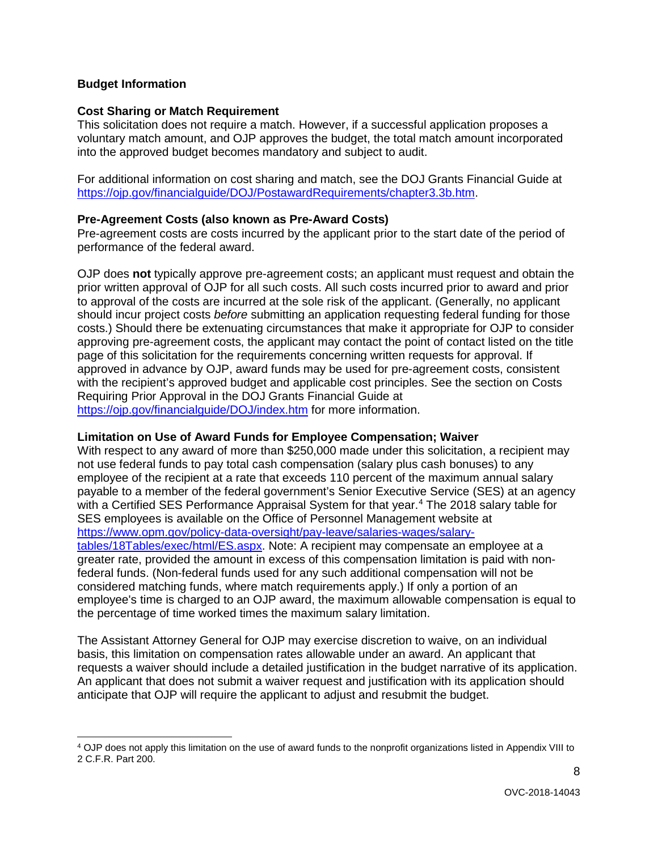#### <span id="page-7-0"></span>**Budget Information**

 $\overline{a}$ 

#### <span id="page-7-1"></span>**Cost Sharing or Match Requirement**

This solicitation does not require a match. However, if a successful application proposes a voluntary match amount, and OJP approves the budget, the total match amount incorporated into the approved budget becomes mandatory and subject to audit.

 [https://ojp.gov/financialguide/DOJ/PostawardRequirements/chapter3.3b.htm.](https://ojp.gov/financialguide/DOJ/PostawardRequirements/chapter3.3b.htm) For additional information on cost sharing and match, see the DOJ Grants Financial Guide at

#### <span id="page-7-2"></span>**Pre-Agreement Costs (also known as Pre-Award Costs)**

performance of the federal award. Pre-agreement costs are costs incurred by the applicant prior to the start date of the period of

 prior written approval of OJP for all such costs. All such costs incurred prior to award and prior to approval of the costs are incurred at the sole risk of the applicant. (Generally, no applicant Requiring Prior Approval in the DOJ Grants Financial Guide at OJP does **not** typically approve pre-agreement costs; an applicant must request and obtain the should incur project costs *before* submitting an application requesting federal funding for those costs.) Should there be extenuating circumstances that make it appropriate for OJP to consider approving pre-agreement costs, the applicant may contact the point of contact listed on the title page of this solicitation for the requirements concerning written requests for approval. If approved in advance by OJP, award funds may be used for pre-agreement costs, consistent with the recipient's approved budget and applicable cost principles. See the section on Costs <https://ojp.gov/financialguide/DOJ/index.htm>for more information.

#### <span id="page-7-3"></span>**Limitation on Use of Award Funds for Employee Compensation; Waiver**

 employee of the recipient at a rate that exceeds 110 percent of the maximum annual salary with a Certified SES Performance Appraisal System for that year.<sup>4</sup> The 2018 salary table for the percentage of time worked times the maximum salary limitation. With respect to any award of more than \$250,000 made under this solicitation, a recipient may not use federal funds to pay total cash compensation (salary plus cash bonuses) to any payable to a member of the federal government's Senior Executive Service (SES) at an agency SES employees is available on the Office of Personnel Management website at [https://www.opm.gov/policy-data-oversight/pay-leave/salaries-wages/salary](https://www.opm.gov/policy-data-oversight/pay-leave/salaries-wages/salary-tables/18Tables/exec/html/ES.aspx)[tables/18Tables/exec/html/ES.aspx.](https://www.opm.gov/policy-data-oversight/pay-leave/salaries-wages/salary-tables/18Tables/exec/html/ES.aspx) Note: A recipient may compensate an employee at a greater rate, provided the amount in excess of this compensation limitation is paid with nonfederal funds. (Non-federal funds used for any such additional compensation will not be considered matching funds, where match requirements apply.) If only a portion of an employee's time is charged to an OJP award, the maximum allowable compensation is equal to

the percentage of time worked times the maximum salary limitation.<br>The Assistant Attorney General for OJP may exercise discretion to waive, on an individual basis, this limitation on compensation rates allowable under an award. An applicant that requests a waiver should include a detailed justification in the budget narrative of its application. An applicant that does not submit a waiver request and justification with its application should anticipate that OJP will require the applicant to adjust and resubmit the budget.

<span id="page-7-4"></span><sup>4</sup> OJP does not apply this limitation on the use of award funds to the nonprofit organizations listed in Appendix VIII to 2 C.F.R. Part 200.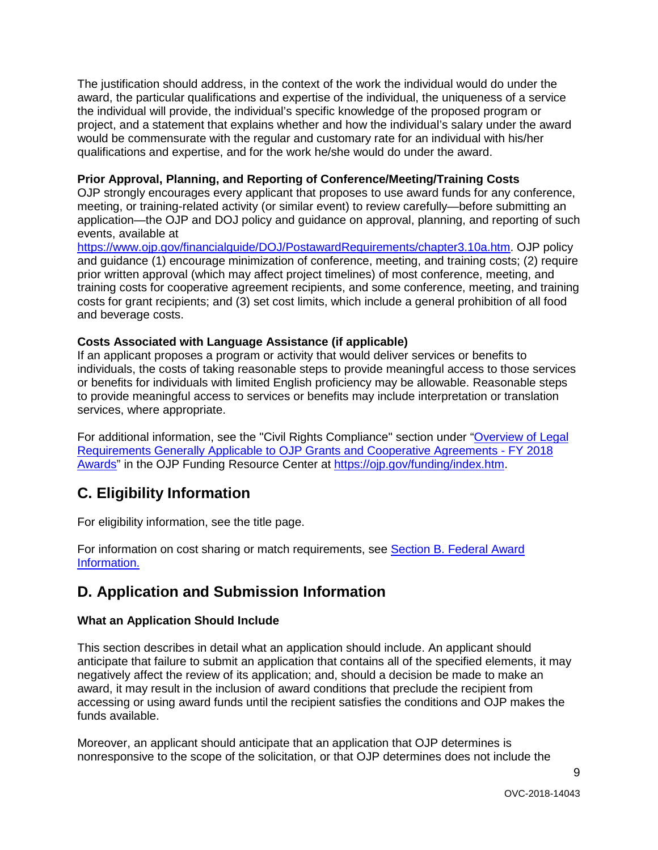The justification should address, in the context of the work the individual would do under the award, the particular qualifications and expertise of the individual, the uniqueness of a service the individual will provide, the individual's specific knowledge of the proposed program or qualifications and expertise, and for the work he/she would do under the award. project, and a statement that explains whether and how the individual's salary under the award would be commensurate with the regular and customary rate for an individual with his/her

## <span id="page-8-1"></span>**Prior Approval, Planning, and Reporting of Conference/Meeting/Training Costs**

 meeting, or training-related activity (or similar event) to review carefully—before submitting an OJP strongly encourages every applicant that proposes to use award funds for any conference. application—the OJP and DOJ policy and guidance on approval, planning, and reporting of such events, available at

 and guidance (1) encourage minimization of conference, meeting, and training costs; (2) require prior written approval (which may affect project timelines) of most conference, meeting, and costs for grant recipients; and (3) set cost limits, which include a general prohibition of all food [https://www.ojp.gov/financialguide/DOJ/PostawardRequirements/chapter3.10a.htm.](https://www.ojp.gov/financialguide/DOJ/PostawardRequirements/chapter3.10a.htm) OJP policy training costs for cooperative agreement recipients, and some conference, meeting, and training and beverage costs.

## <span id="page-8-2"></span>**Costs Associated with Language Assistance (if applicable)**

 If an applicant proposes a program or activity that would deliver services or benefits to or benefits for individuals with limited English proficiency may be allowable. Reasonable steps individuals, the costs of taking reasonable steps to provide meaningful access to those services to provide meaningful access to services or benefits may include interpretation or translation services, where appropriate.

 [Requirements Generally Applicable to OJP Grants and Cooperative Agreements -](https://ojp.gov/funding/Explore/LegalOverview/index.htm) FY 2018 <u>Awards</u>" in the OJP Funding Resource Center at <u>https://ojp.gov/funding/index.htm</u>. For additional information, see the "Civil Rights Compliance" section under "Overview of Legal

# <span id="page-8-3"></span>**C. Eligibility Information**

For eligibility information, see the title page.

For information on cost sharing or match requirements, see [Section B. Federal Award](#page-5-1)  [Information.](#page-5-1) 

# <span id="page-8-0"></span>**D. Application and Submission Information**

# <span id="page-8-4"></span>**What an Application Should Include**

 anticipate that failure to submit an application that contains all of the specified elements, it may negatively affect the review of its application; and, should a decision be made to make an accessing or using award funds until the recipient satisfies the conditions and OJP makes the This section describes in detail what an application should include. An applicant should award, it may result in the inclusion of award conditions that preclude the recipient from funds available.

Moreover, an applicant should anticipate that an application that OJP determines is nonresponsive to the scope of the solicitation, or that OJP determines does not include the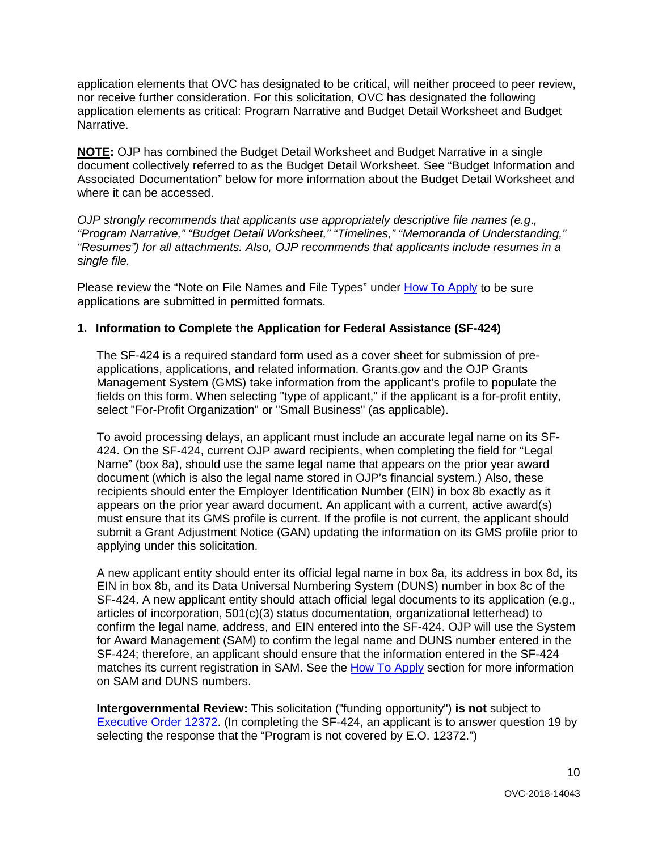application elements that OVC has designated to be critical, will neither proceed to peer review, nor receive further consideration. For this solicitation, OVC has designated the following application elements as critical: Program Narrative and Budget Detail Worksheet and Budget Narrative.

**NOTE:** OJP has combined the Budget Detail Worksheet and Budget Narrative in a single document collectively referred to as the Budget Detail Worksheet. See "Budget Information and Associated Documentation" below for more information about the Budget Detail Worksheet and where it can be accessed.

 *"Resumes") for all attachments. Also, OJP recommends that applicants include resumes in a OJP strongly recommends that applicants use appropriately descriptive file names (e.g*.*, "Program Narrative," "Budget Detail Worksheet," "Timelines," "Memoranda of Understanding," single file.* 

Please review the "Note on File Names and File Types" under [How To Apply](#page-23-0) to be sure applications are submitted in permitted formats.

#### **1. Information to Complete the Application for Federal Assistance (SF-424)**

 Management System (GMS) take information from the applicant's profile to populate the fields on this form. When selecting "type of applicant," if the applicant is a for-profit entity, The SF-424 is a required standard form used as a cover sheet for submission of preapplications, applications, and related information. Grants.gov and the OJP Grants select "For-Profit Organization" or "Small Business" (as applicable).

 document (which is also the legal name stored in OJP's financial system.) Also, these must ensure that its GMS profile is current. If the profile is not current, the applicant should submit a Grant Adjustment Notice (GAN) updating the information on its GMS profile prior to To avoid processing delays, an applicant must include an accurate legal name on its SF-424. On the SF-424, current OJP award recipients, when completing the field for "Legal Name" (box 8a), should use the same legal name that appears on the prior year award recipients should enter the Employer Identification Number (EIN) in box 8b exactly as it appears on the prior year award document. An applicant with a current, active award(s) applying under this solicitation.

 A new applicant entity should enter its official legal name in box 8a, its address in box 8d, its EIN in box 8b, and its Data Universal Numbering System (DUNS) number in box 8c of the SF-424. A new applicant entity should attach official legal documents to its application (e.g., on SAM and DUNS numbers. articles of incorporation, 501(c)(3) status documentation, organizational letterhead) to confirm the legal name, address, and EIN entered into the SF-424. OJP will use the System for Award Management (SAM) to confirm the legal name and DUNS number entered in the SF-424; therefore, an applicant should ensure that the information entered in the SF-424 matches its current registration in SAM. See the [How To Apply](#page-23-0) section for more information

**Intergovernmental Review:** This solicitation ("funding opportunity") **is not** subject to [Executive Order 12372.](https://www.archives.gov/federal-register/codification/executive-order/12372.html) (In completing the SF-424, an applicant is to answer question 19 by selecting the response that the "Program is not covered by E.O. 12372.")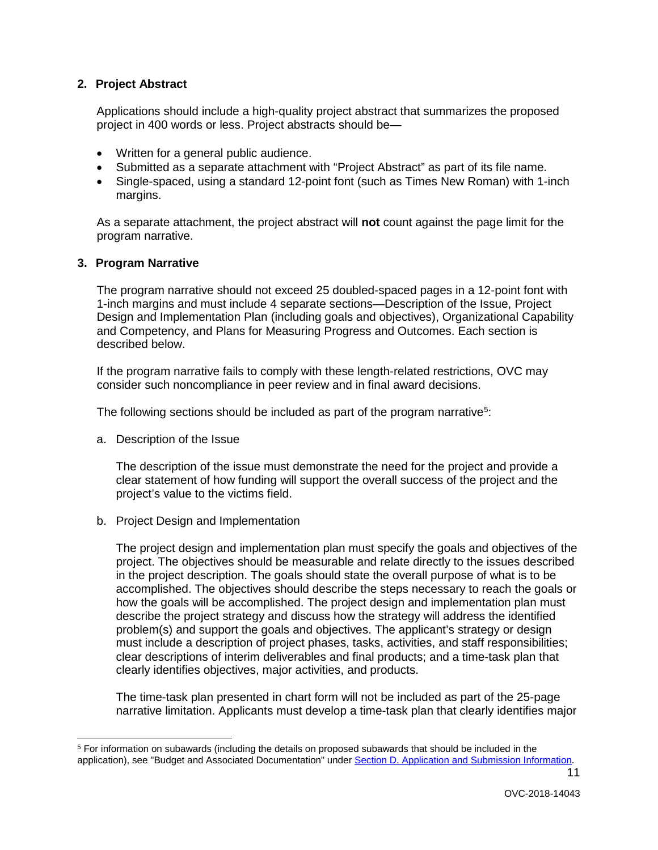#### **2. Project Abstract**

 Applications should include a high-quality project abstract that summarizes the proposed project in 400 words or less. Project abstracts should be—

- Written for a general public audience.
- Submitted as a separate attachment with "Project Abstract" as part of its file name.
- Single-spaced, using a standard 12-point font (such as Times New Roman) with 1-inch margins.

 As a separate attachment, the project abstract will **not** count against the page limit for the program narrative.

#### **3. Program Narrative**

The program narrative should not exceed 25 doubled-spaced pages in a 12-point font with 1-inch margins and must include 4 separate sections—Description of the Issue, Project Design and Implementation Plan (including goals and objectives), Organizational Capability and Competency, and Plans for Measuring Progress and Outcomes. Each section is described below.

If the program narrative fails to comply with these length-related restrictions, OVC may consider such noncompliance in peer review and in final award decisions.

The following sections should be included as part of the program narrative<sup>[5](#page-10-0)</sup>:

a. Description of the Issue

 $\overline{a}$ 

The description of the issue must demonstrate the need for the project and provide a clear statement of how funding will support the overall success of the project and the project's value to the victims field.

b. Project Design and Implementation

 in the project description. The goals should state the overall purpose of what is to be accomplished. The objectives should describe the steps necessary to reach the goals or must include a description of project phases, tasks, activities, and staff responsibilities; clearly identifies objectives, major activities, and products. The project design and implementation plan must specify the goals and objectives of the project. The objectives should be measurable and relate directly to the issues described how the goals will be accomplished. The project design and implementation plan must describe the project strategy and discuss how the strategy will address the identified problem(s) and support the goals and objectives. The applicant's strategy or design clear descriptions of interim deliverables and final products; and a time-task plan that

 narrative limitation. Applicants must develop a time-task plan that clearly identifies major The time-task plan presented in chart form will not be included as part of the 25-page

<span id="page-10-0"></span><sup>5</sup> For information on subawards (including the details on proposed subawards that should be included in the application), see "Budget and Associated Documentation" under [Section D. Application and Submission Information.](#page-8-0)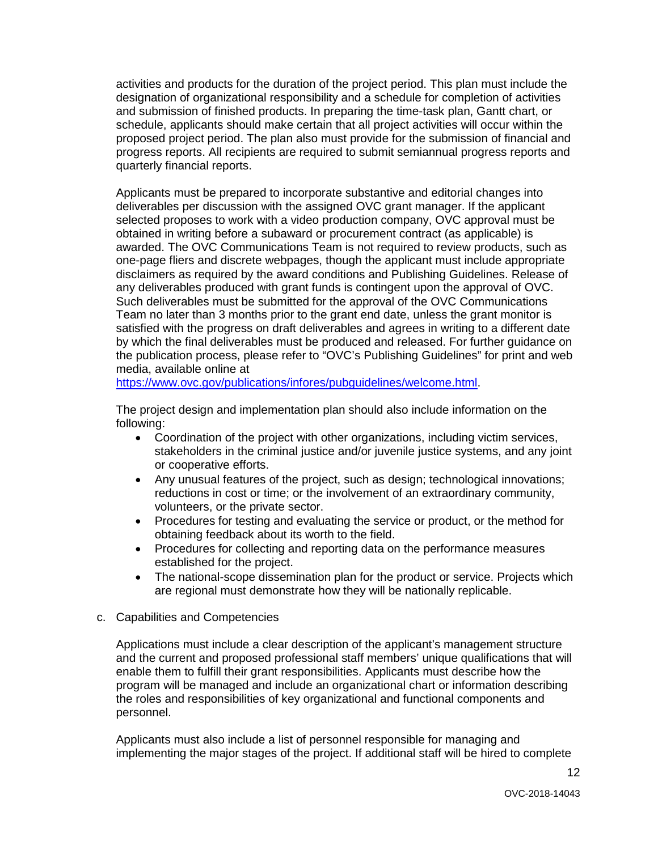activities and products for the duration of the project period. This plan must include the designation of organizational responsibility and a schedule for completion of activities and submission of finished products. In preparing the time-task plan, Gantt chart, or schedule, applicants should make certain that all project activities will occur within the proposed project period. The plan also must provide for the submission of financial and progress reports. All recipients are required to submit semiannual progress reports and quarterly financial reports.

 awarded. The OVC Communications Team is not required to review products, such as one-page fliers and discrete webpages, though the applicant must include appropriate Such deliverables must be submitted for the approval of the OVC Communications Team no later than 3 months prior to the grant end date, unless the grant monitor is by which the final deliverables must be produced and released. For further guidance on the publication process, please refer to "OVC's Publishing Guidelines" for print and web Applicants must be prepared to incorporate substantive and editorial changes into deliverables per discussion with the assigned OVC grant manager. If the applicant selected proposes to work with a video production company, OVC approval must be obtained in writing before a subaward or procurement contract (as applicable) is disclaimers as required by the award conditions and Publishing Guidelines. Release of any deliverables produced with grant funds is contingent upon the approval of OVC. satisfied with the progress on draft deliverables and agrees in writing to a different date media, available online at

https://www.ovc.gov/publications/infores/pubguidelines/welcome.html.

The project design and implementation plan should also include information on the following:

- Coordination of the project with other organizations, including victim services, stakeholders in the criminal justice and/or juvenile justice systems, and any joint or cooperative efforts.
- • Any unusual features of the project, such as design; technological innovations; reductions in cost or time; or the involvement of an extraordinary community, volunteers, or the private sector.
- • Procedures for testing and evaluating the service or product, or the method for obtaining feedback about its worth to the field.
- Procedures for collecting and reporting data on the performance measures established for the project.
- The national-scope dissemination plan for the product or service. Projects which are regional must demonstrate how they will be nationally replicable.
- c. Capabilities and Competencies

 enable them to fulfill their grant responsibilities. Applicants must describe how the the roles and responsibilities of key organizational and functional components and Applications must include a clear description of the applicant's management structure and the current and proposed professional staff members' unique qualifications that will program will be managed and include an organizational chart or information describing personnel.

 implementing the major stages of the project. If additional staff will be hired to complete Applicants must also include a list of personnel responsible for managing and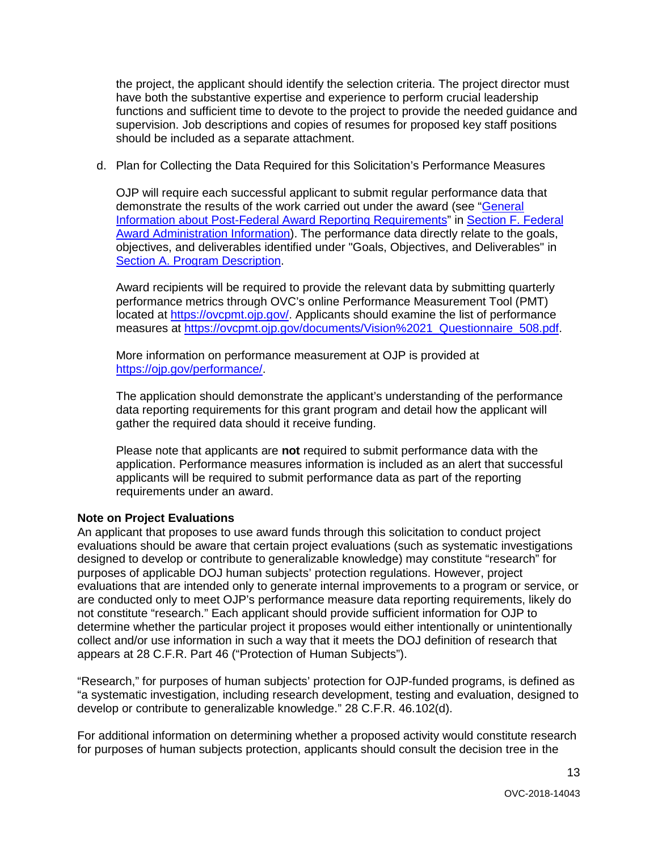have both the substantive expertise and experience to perform crucial leadership supervision. Job descriptions and copies of resumes for proposed key staff positions the project, the applicant should identify the selection criteria. The project director must functions and sufficient time to devote to the project to provide the needed guidance and should be included as a separate attachment.

d. Plan for Collecting the Data Required for this Solicitation's Performance Measures

demonstrate the results of the work carried out under the award (see "General [Award Administration Information\)](#page-29-0). The performance data directly relate to the goals, OJP will require each successful applicant to submit regular performance data that [Information about Post-Federal Award Reporting Requirements"](#page-30-0) in [Section F. Federal](#page-29-0)  objectives, and deliverables identified under "Goals, Objectives, and Deliverables" in [Section A. Program Description.](#page-3-0)

 performance metrics through OVC's online Performance Measurement Tool (PMT) Award recipients will be required to provide the relevant data by submitting quarterly located at [https://ovcpmt.ojp.gov/.](https://ovcpmt.ojp.gov/) Applicants should examine the list of performance measures at [https://ovcpmt.ojp.gov/documents/Vision%2021\\_Questionnaire\\_508.pdf.](https://ovcpmt.ojp.gov/documents/Vision%2021_Questionnaire_508.pdf)

More information on performance measurement at OJP is provided at [https://ojp.gov/performance/.](https://ojp.gov/performance/)

 data reporting requirements for this grant program and detail how the applicant will gather the required data should it receive funding. The application should demonstrate the applicant's understanding of the performance

Please note that applicants are **not** required to submit performance data with the application. Performance measures information is included as an alert that successful applicants will be required to submit performance data as part of the reporting requirements under an award.

#### **Note on Project Evaluations**

 designed to develop or contribute to generalizable knowledge) may constitute "research" for are conducted only to meet OJP's performance measure data reporting requirements, likely do not constitute "research." Each applicant should provide sufficient information for OJP to appears at 28 C.F.R. Part 46 ("Protection of Human Subjects"). An applicant that proposes to use award funds through this solicitation to conduct project evaluations should be aware that certain project evaluations (such as systematic investigations purposes of applicable DOJ human subjects' protection regulations. However, project evaluations that are intended only to generate internal improvements to a program or service, or determine whether the particular project it proposes would either intentionally or unintentionally collect and/or use information in such a way that it meets the DOJ definition of research that

"Research," for purposes of human subjects' protection for OJP-funded programs, is defined as "a systematic investigation, including research development, testing and evaluation, designed to develop or contribute to generalizable knowledge." 28 C.F.R. 46.102(d).

 for purposes of human subjects protection, applicants should consult the decision tree in the For additional information on determining whether a proposed activity would constitute research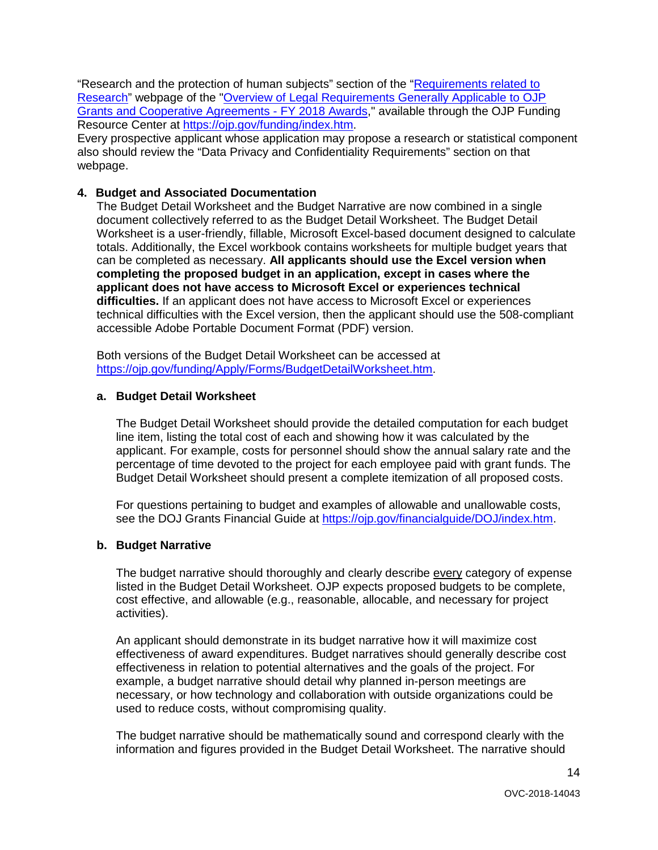"Research and the protection of human subjects" section of the "<u>Requirements related to</u> [Research"](https://ojp.gov/funding/Explore/SolicitationRequirements/EvidenceResearchEvaluationRequirements.htm) webpage of the ["Overview of Legal Requirements Generally Applicable to OJP](https://ojp.gov/funding/Explore/LegalOverview/index.htm)  [Grants and Cooperative Agreements -](https://ojp.gov/funding/Explore/LegalOverview/index.htm) FY 2018 Awards," available through the OJP Funding Resource Center at [https://ojp.gov/funding/index.htm.](https://ojp.gov/funding/index.htm)

Every prospective applicant whose application may propose a research or statistical component also should review the "Data Privacy and Confidentiality Requirements" section on that webpage.

#### **4. Budget and Associated Documentation**

 totals. Additionally, the Excel workbook contains worksheets for multiple budget years that  **completing the proposed budget in an application, except in cases where the** The Budget Detail Worksheet and the Budget Narrative are now combined in a single document collectively referred to as the Budget Detail Worksheet. The Budget Detail Worksheet is a user-friendly, fillable, Microsoft Excel-based document designed to calculate can be completed as necessary. **All applicants should use the Excel version when applicant does not have access to Microsoft Excel or experiences technical difficulties.** If an applicant does not have access to Microsoft Excel or experiences technical difficulties with the Excel version, then the applicant should use the 508-compliant accessible Adobe Portable Document Format (PDF) version.

Both versions of the Budget Detail Worksheet can be accessed at [https://ojp.gov/funding/Apply/Forms/BudgetDetailWorksheet.htm.](https://ojp.gov/funding/Apply/Forms/BudgetDetailWorksheet.htm)

#### **a. Budget Detail Worksheet**

 The Budget Detail Worksheet should provide the detailed computation for each budget applicant. For example, costs for personnel should show the annual salary rate and the percentage of time devoted to the project for each employee paid with grant funds. The Budget Detail Worksheet should present a complete itemization of all proposed costs. line item, listing the total cost of each and showing how it was calculated by the

see the DOJ Grants Financial Guide at **https://ojp.gov/financialguide/DOJ/index.htm**. For questions pertaining to budget and examples of allowable and unallowable costs,

#### **b. Budget Narrative**

 cost effective, and allowable (e.g., reasonable, allocable, and necessary for project activities). The budget narrative should thoroughly and clearly describe every category of expense listed in the Budget Detail Worksheet. OJP expects proposed budgets to be complete,

 example, a budget narrative should detail why planned in-person meetings are used to reduce costs, without compromising quality. An applicant should demonstrate in its budget narrative how it will maximize cost effectiveness of award expenditures. Budget narratives should generally describe cost effectiveness in relation to potential alternatives and the goals of the project. For necessary, or how technology and collaboration with outside organizations could be

The budget narrative should be mathematically sound and correspond clearly with the information and figures provided in the Budget Detail Worksheet. The narrative should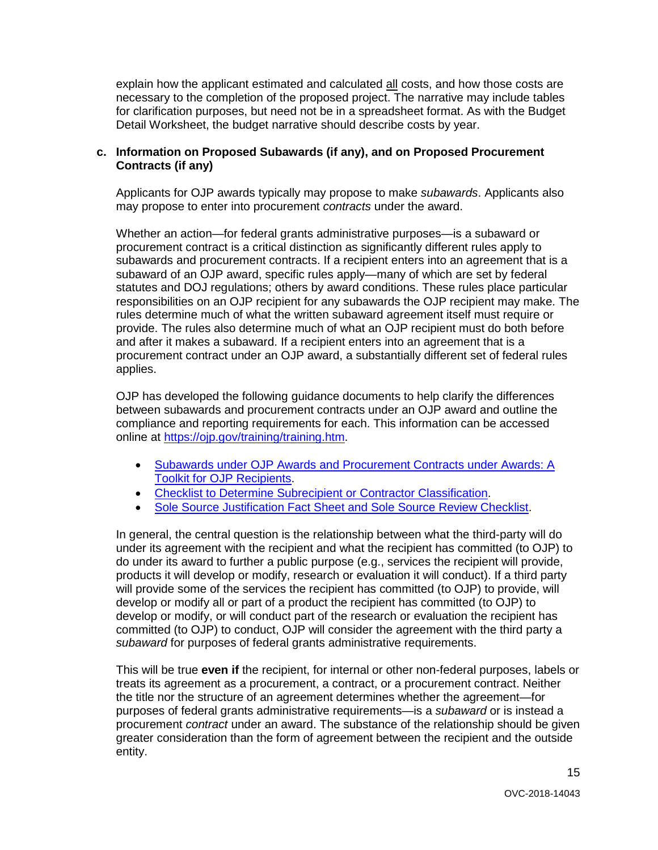explain how the applicant estimated and calculated <u>all</u> costs, and how those costs are Detail Worksheet, the budget narrative should describe costs by year. necessary to the completion of the proposed project. The narrative may include tables for clarification purposes, but need not be in a spreadsheet format. As with the Budget

#### **c. Information on Proposed Subawards (if any), and on Proposed Procurement Contracts (if any)**

 Applicants for OJP awards typically may propose to make *subawards*. Applicants also may propose to enter into procurement *contracts* under the award.

 procurement contract is a critical distinction as significantly different rules apply to subaward of an OJP award, specific rules apply—many of which are set by federal statutes and DOJ regulations; others by award conditions. These rules place particular responsibilities on an OJP recipient for any subawards the OJP recipient may make. The applies. Whether an action—for federal grants administrative purposes—is a subaward or subawards and procurement contracts. If a recipient enters into an agreement that is a rules determine much of what the written subaward agreement itself must require or provide. The rules also determine much of what an OJP recipient must do both before and after it makes a subaward. If a recipient enters into an agreement that is a procurement contract under an OJP award, a substantially different set of federal rules

 compliance and reporting requirements for each. This information can be accessed online at <u>https://ojp.gov/training/training.htm</u>. OJP has developed the following guidance documents to help clarify the differences between subawards and procurement contracts under an OJP award and outline the

- [Subawards under OJP Awards and Procurement Contracts under Awards: A](http://links.govdelivery.com/track?type=click&enid=ZWFzPTEmbXNpZD0mYXVpZD0mbWFpbGluZ2lkPTIwMTcwNzE3Ljc1OTkyNjAxJm1lc3NhZ2VpZD1NREItUFJELUJVTC0yMDE3MDcxNy43NTk5MjYwMSZkYXRhYmFzZWlkPTEwMDEmc2VyaWFsPTE3MDc5NDk3JmVtYWlsaWQ9bHVjeS5tdW5nbGVAb2pwLnVzZG9qLmdvdiZ1c2VyaWQ9bHVjeS5tdW5nbGVAb2pwLnVzZG9qLmdvdiZ0YXJnZXRpZD0mZmw9Jm12aWQ9JmV4dHJhPSYmJg==&&&101&&&https://ojp.gov/training/pdfs/Subaward-Procure-Toolkit-D.pdf)  [Toolkit for OJP Recipients.](http://links.govdelivery.com/track?type=click&enid=ZWFzPTEmbXNpZD0mYXVpZD0mbWFpbGluZ2lkPTIwMTcwNzE3Ljc1OTkyNjAxJm1lc3NhZ2VpZD1NREItUFJELUJVTC0yMDE3MDcxNy43NTk5MjYwMSZkYXRhYmFzZWlkPTEwMDEmc2VyaWFsPTE3MDc5NDk3JmVtYWlsaWQ9bHVjeS5tdW5nbGVAb2pwLnVzZG9qLmdvdiZ1c2VyaWQ9bHVjeS5tdW5nbGVAb2pwLnVzZG9qLmdvdiZ0YXJnZXRpZD0mZmw9Jm12aWQ9JmV4dHJhPSYmJg==&&&101&&&https://ojp.gov/training/pdfs/Subaward-Procure-Toolkit-D.pdf)
- [Checklist to Determine Subrecipient or Contractor Classification.](http://links.govdelivery.com/track?type=click&enid=ZWFzPTEmbXNpZD0mYXVpZD0mbWFpbGluZ2lkPTIwMTcwNzE3Ljc1OTkyNjAxJm1lc3NhZ2VpZD1NREItUFJELUJVTC0yMDE3MDcxNy43NTk5MjYwMSZkYXRhYmFzZWlkPTEwMDEmc2VyaWFsPTE3MDc5NDk3JmVtYWlsaWQ9bHVjeS5tdW5nbGVAb2pwLnVzZG9qLmdvdiZ1c2VyaWQ9bHVjeS5tdW5nbGVAb2pwLnVzZG9qLmdvdiZ0YXJnZXRpZD0mZmw9Jm12aWQ9JmV4dHJhPSYmJg==&&&102&&&https://ojp.gov/training/pdfs/Subrecipient-Procure-cklist-B.pdf)
- [Sole Source Justification Fact Sheet and Sole Source Review Checklist.](http://links.govdelivery.com/track?type=click&enid=ZWFzPTEmbXNpZD0mYXVpZD0mbWFpbGluZ2lkPTIwMTcwNzE3Ljc1OTkyNjAxJm1lc3NhZ2VpZD1NREItUFJELUJVTC0yMDE3MDcxNy43NTk5MjYwMSZkYXRhYmFzZWlkPTEwMDEmc2VyaWFsPTE3MDc5NDk3JmVtYWlsaWQ9bHVjeS5tdW5nbGVAb2pwLnVzZG9qLmdvdiZ1c2VyaWQ9bHVjeS5tdW5nbGVAb2pwLnVzZG9qLmdvdiZ0YXJnZXRpZD0mZmw9Jm12aWQ9JmV4dHJhPSYmJg==&&&103&&&https://ojp.gov/training/pdfs/Sole-Source-FactSheet-C.pdf)

 products it will develop or modify, research or evaluation it will conduct). If a third party will provide some of the services the recipient has committed (to OJP) to provide, will develop or modify all or part of a product the recipient has committed (to OJP) to *subaward* for purposes of federal grants administrative requirements. In general, the central question is the relationship between what the third-party will do under its agreement with the recipient and what the recipient has committed (to OJP) to do under its award to further a public purpose (e.g., services the recipient will provide, develop or modify, or will conduct part of the research or evaluation the recipient has committed (to OJP) to conduct, OJP will consider the agreement with the third party a

 This will be true **even if** the recipient, for internal or other non-federal purposes, labels or purposes of federal grants administrative requirements—is a *subaward* or is instead a treats its agreement as a procurement, a contract, or a procurement contract. Neither the title nor the structure of an agreement determines whether the agreement—for procurement *contract* under an award. The substance of the relationship should be given greater consideration than the form of agreement between the recipient and the outside entity.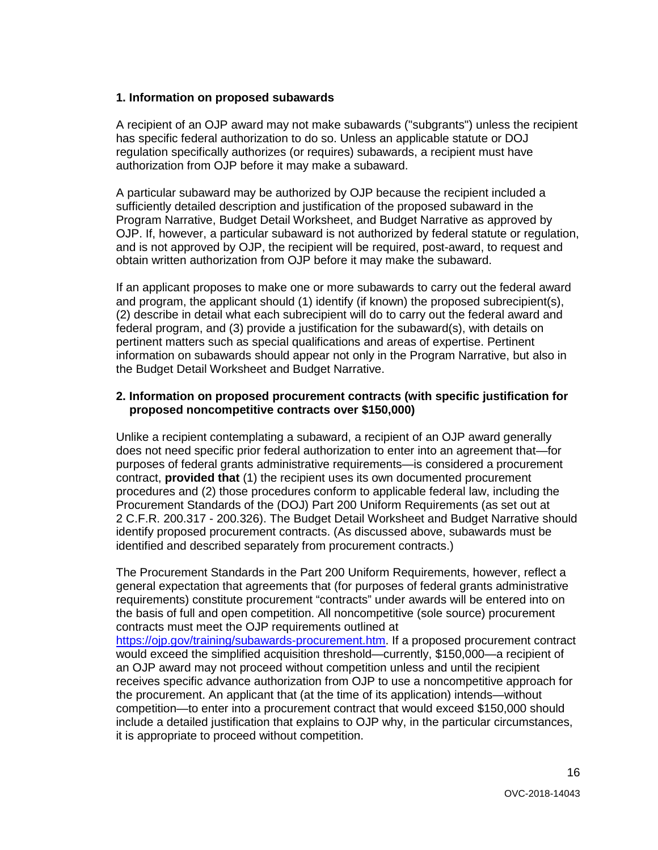#### **1. Information on proposed subawards**

 regulation specifically authorizes (or requires) subawards, a recipient must have A recipient of an OJP award may not make subawards ("subgrants") unless the recipient has specific federal authorization to do so. Unless an applicable statute or DOJ authorization from OJP before it may make a subaward.

A particular subaward may be authorized by OJP because the recipient included a sufficiently detailed description and justification of the proposed subaward in the Program Narrative, Budget Detail Worksheet, and Budget Narrative as approved by OJP. If, however, a particular subaward is not authorized by federal statute or regulation, and is not approved by OJP, the recipient will be required, post-award, to request and obtain written authorization from OJP before it may make the subaward.

 (2) describe in detail what each subrecipient will do to carry out the federal award and If an applicant proposes to make one or more subawards to carry out the federal award and program, the applicant should (1) identify (if known) the proposed subrecipient(s), federal program, and (3) provide a justification for the subaward(s), with details on pertinent matters such as special qualifications and areas of expertise. Pertinent information on subawards should appear not only in the Program Narrative, but also in the Budget Detail Worksheet and Budget Narrative.

#### **2. Information on proposed procurement contracts (with specific justification for proposed noncompetitive contracts over \$150,000)**

 purposes of federal grants administrative requirements—is considered a procurement contract, **provided that** (1) the recipient uses its own documented procurement procedures and (2) those procedures conform to applicable federal law, including the Unlike a recipient contemplating a subaward, a recipient of an OJP award generally does not need specific prior federal authorization to enter into an agreement that—for Procurement Standards of the (DOJ) Part 200 Uniform Requirements (as set out at 2 C.F.R. 200.317 - 200.326). The Budget Detail Worksheet and Budget Narrative should identify proposed procurement contracts. (As discussed above, subawards must be identified and described separately from procurement contracts.)

 general expectation that agreements that (for purposes of federal grants administrative The Procurement Standards in the Part 200 Uniform Requirements, however, reflect a requirements) constitute procurement "contracts" under awards will be entered into on the basis of full and open competition. All noncompetitive (sole source) procurement contracts must meet the OJP requirements outlined at [https://ojp.gov/training/subawards-procurement.htm.](https://ojp.gov/training/subawards-procurement.htm) If a proposed procurement contract would exceed the simplified acquisition threshold—currently, \$150,000—a recipient of an OJP award may not proceed without competition unless and until the recipient receives specific advance authorization from OJP to use a noncompetitive approach for the procurement. An applicant that (at the time of its application) intends—without competition—to enter into a procurement contract that would exceed \$150,000 should include a detailed justification that explains to OJP why, in the particular circumstances, it is appropriate to proceed without competition.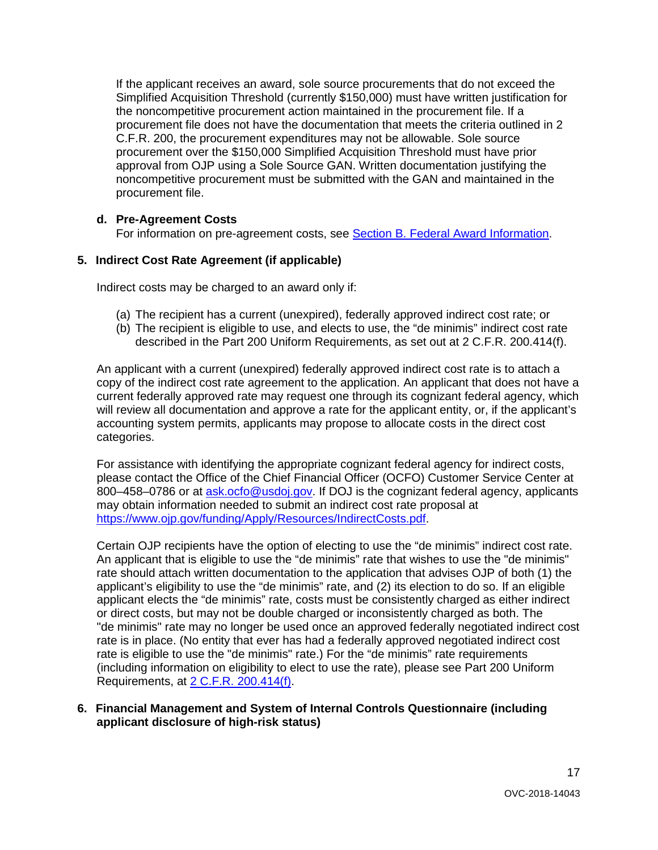procurement file does not have the documentation that meets the criteria outlined in 2 C.F.R. 200, the procurement expenditures may not be allowable. Sole source If the applicant receives an award, sole source procurements that do not exceed the Simplified Acquisition Threshold (currently \$150,000) must have written justification for the noncompetitive procurement action maintained in the procurement file. If a procurement over the \$150,000 Simplified Acquisition Threshold must have prior approval from OJP using a Sole Source GAN. Written documentation justifying the noncompetitive procurement must be submitted with the GAN and maintained in the procurement file.

## **d. Pre-Agreement Costs**

For information on pre-agreement costs, see [Section B. Federal Award Information.](#page-5-1)

#### **5. Indirect Cost Rate Agreement (if applicable)**

Indirect costs may be charged to an award only if:

- (a) The recipient has a current (unexpired), federally approved indirect cost rate; or
- (b) The recipient is eligible to use, and elects to use, the "de minimis" indirect cost rate described in the Part 200 Uniform Requirements, as set out at 2 C.F.R. 200.414(f).

 copy of the indirect cost rate agreement to the application. An applicant that does not have a will review all documentation and approve a rate for the applicant entity, or, if the applicant's accounting system permits, applicants may propose to allocate costs in the direct cost An applicant with a current (unexpired) federally approved indirect cost rate is to attach a current federally approved rate may request one through its cognizant federal agency, which categories.

 For assistance with identifying the appropriate cognizant federal agency for indirect costs, please contact the Office of the Chief Financial Officer (OCFO) Customer Service Center at 800–458–0786 or at [ask.ocfo@usdoj.gov.](mailto:ask.ocfo@usdoj.gov) If DOJ is the cognizant federal agency, applicants may obtain information needed to submit an indirect cost rate proposal at [https://www.ojp.gov/funding/Apply/Resources/IndirectCosts.pdf.](https://www.ojp.gov/funding/Apply/Resources/IndirectCosts.pdf)

 Certain OJP recipients have the option of electing to use the "de minimis" indirect cost rate. An applicant that is eligible to use the "de minimis" rate that wishes to use the "de minimis" applicant elects the "de minimis" rate, costs must be consistently charged as either indirect rate is eligible to use the "de minimis" rate.) For the "de minimis" rate requirements rate should attach written documentation to the application that advises OJP of both (1) the applicant's eligibility to use the "de minimis" rate, and (2) its election to do so. If an eligible or direct costs, but may not be double charged or inconsistently charged as both. The "de minimis" rate may no longer be used once an approved federally negotiated indirect cost rate is in place. (No entity that ever has had a federally approved negotiated indirect cost (including information on eligibility to elect to use the rate), please see Part 200 Uniform Requirements, at [2 C.F.R. 200.414\(f\).](https://www.ecfr.gov/cgi-bin/text-idx?node=se2.1.200_1414&rgn=div8)

#### **6. Financial Management and System of Internal Controls Questionnaire (including applicant disclosure of high-risk status)**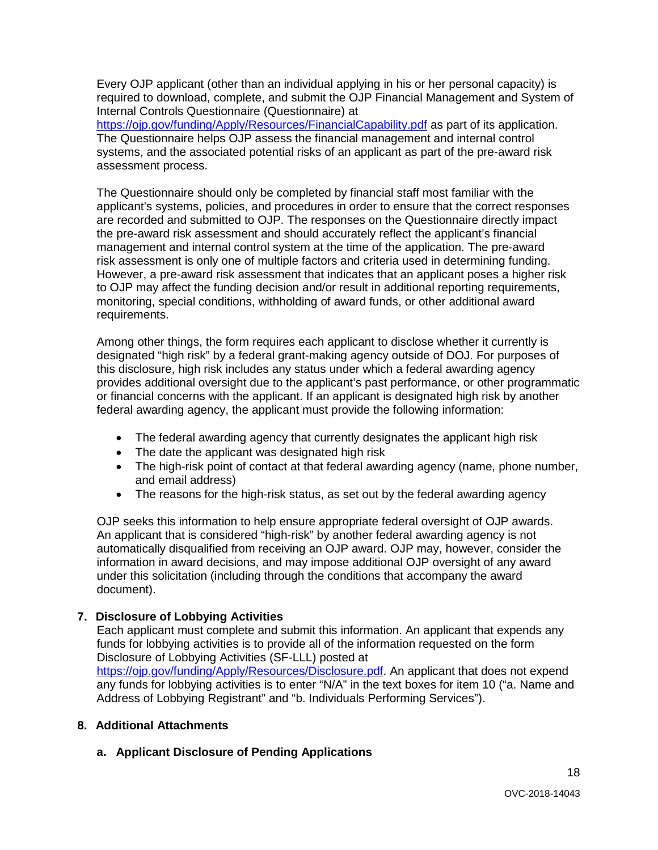required to download, complete, and submit the OJP Financial Management and System of Every OJP applicant (other than an individual applying in his or her personal capacity) is Internal Controls Questionnaire (Questionnaire) at

 systems, and the associated potential risks of an applicant as part of the pre-award risk <https://ojp.gov/funding/Apply/Resources/FinancialCapability.pdf>as part of its application. The Questionnaire helps OJP assess the financial management and internal control assessment process.

 The Questionnaire should only be completed by financial staff most familiar with the applicant's systems, policies, and procedures in order to ensure that the correct responses the pre-award risk assessment and should accurately reflect the applicant's financial However, a pre-award risk assessment that indicates that an applicant poses a higher risk are recorded and submitted to OJP. The responses on the Questionnaire directly impact management and internal control system at the time of the application. The pre-award risk assessment is only one of multiple factors and criteria used in determining funding. to OJP may affect the funding decision and/or result in additional reporting requirements, monitoring, special conditions, withholding of award funds, or other additional award requirements.

 Among other things, the form requires each applicant to disclose whether it currently is designated "high risk" by a federal grant-making agency outside of DOJ. For purposes of this disclosure, high risk includes any status under which a federal awarding agency provides additional oversight due to the applicant's past performance, or other programmatic or financial concerns with the applicant. If an applicant is designated high risk by another federal awarding agency, the applicant must provide the following information:

- The federal awarding agency that currently designates the applicant high risk
- The date the applicant was designated high risk
- The high-risk point of contact at that federal awarding agency (name, phone number, and email address)
- The reasons for the high-risk status, as set out by the federal awarding agency

OJP seeks this information to help ensure appropriate federal oversight of OJP awards. An applicant that is considered "high-risk" by another federal awarding agency is not automatically disqualified from receiving an OJP award. OJP may, however, consider the information in award decisions, and may impose additional OJP oversight of any award under this solicitation (including through the conditions that accompany the award document).

#### **7. Disclosure of Lobbying Activities**

 funds for lobbying activities is to provide all of the information requested on the form Each applicant must complete and submit this information. An applicant that expends any Disclosure of Lobbying Activities (SF-LLL) posted at [https://ojp.gov/funding/Apply/Resources/Disclosure.pdf.](https://ojp.gov/funding/Apply/Resources/Disclosure.pdf) An applicant that does not expend any funds for lobbying activities is to enter "N/A" in the text boxes for item 10 ("a. Name and Address of Lobbying Registrant" and "b. Individuals Performing Services").

#### **8. Additional Attachments**

**a. Applicant Disclosure of Pending Applications**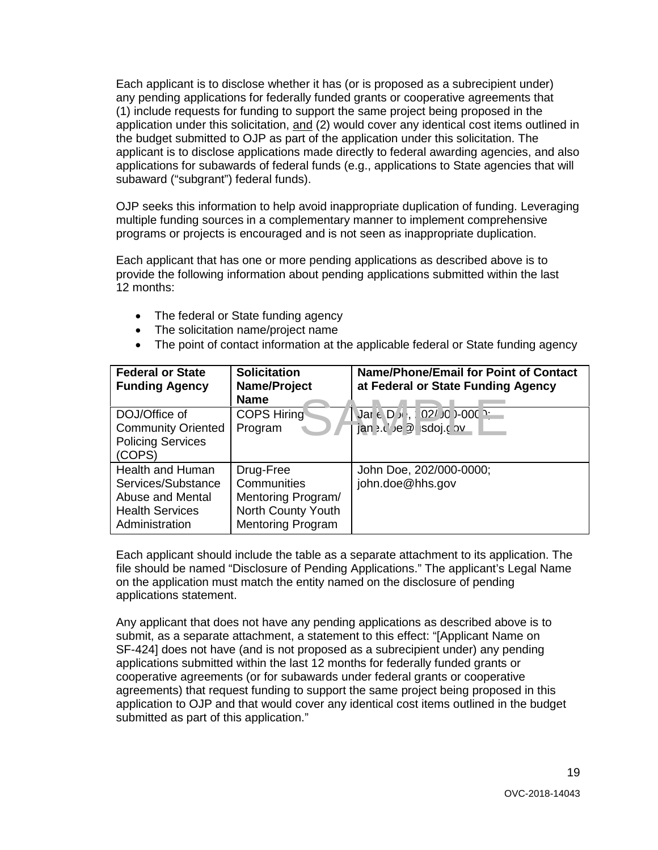Each applicant is to disclose whether it has (or is proposed as a subrecipient under) any pending applications for federally funded grants or cooperative agreements that any pending applications for federally funded grants or cooperative agreements that<br>(1) include requests for funding to support the same project being proposed in the application under this solicitation, and (2) would cover any identical cost items outlined in the budget submitted to OJP as part of the application under this solicitation. The applicant is to disclose applications made directly to federal awarding agencies, and also applications for subawards of federal funds (e.g., applications to State agencies that will subaward ("subgrant") federal funds).

 multiple funding sources in a complementary manner to implement comprehensive OJP seeks this information to help avoid inappropriate duplication of funding. Leveraging programs or projects is encouraged and is not seen as inappropriate duplication.

Each applicant that has one or more pending applications as described above is to provide the following information about pending applications submitted within the last 12 months:

- The federal or State funding agency
- The solicitation name/project name
- The point of contact information at the applicable federal or State funding agency

| <b>Federal or State</b><br><b>Funding Agency</b>                                                       | <b>Solicitation</b><br>Name/Project<br><b>Name</b>                                               | <b>Name/Phone/Email for Point of Contact</b><br>at Federal or State Funding Agency |
|--------------------------------------------------------------------------------------------------------|--------------------------------------------------------------------------------------------------|------------------------------------------------------------------------------------|
| DOJ/Office of<br><b>Community Oriented</b><br><b>Policing Services</b><br>(COPS)                       | <b>COPS Hiring</b><br>Program                                                                    | Jar ∈ D » , : 02/J0 }-000 }-<br>jan >.('/e 2 sdoj.c nv                             |
| Health and Human<br>Services/Substance<br>Abuse and Mental<br><b>Health Services</b><br>Administration | Drug-Free<br>Communities<br>Mentoring Program/<br>North County Youth<br><b>Mentoring Program</b> | John Doe, 202/000-0000;<br>john.doe@hhs.gov                                        |

 on the application must match the entity named on the disclosure of pending Each applicant should include the table as a separate attachment to its application. The file should be named "Disclosure of Pending Applications." The applicant's Legal Name applications statement.

 applications submitted within the last 12 months for federally funded grants or cooperative agreements (or for subawards under federal grants or cooperative submitted as part of this application." Any applicant that does not have any pending applications as described above is to submit, as a separate attachment, a statement to this effect: "[Applicant Name on SF-424] does not have (and is not proposed as a subrecipient under) any pending agreements) that request funding to support the same project being proposed in this application to OJP and that would cover any identical cost items outlined in the budget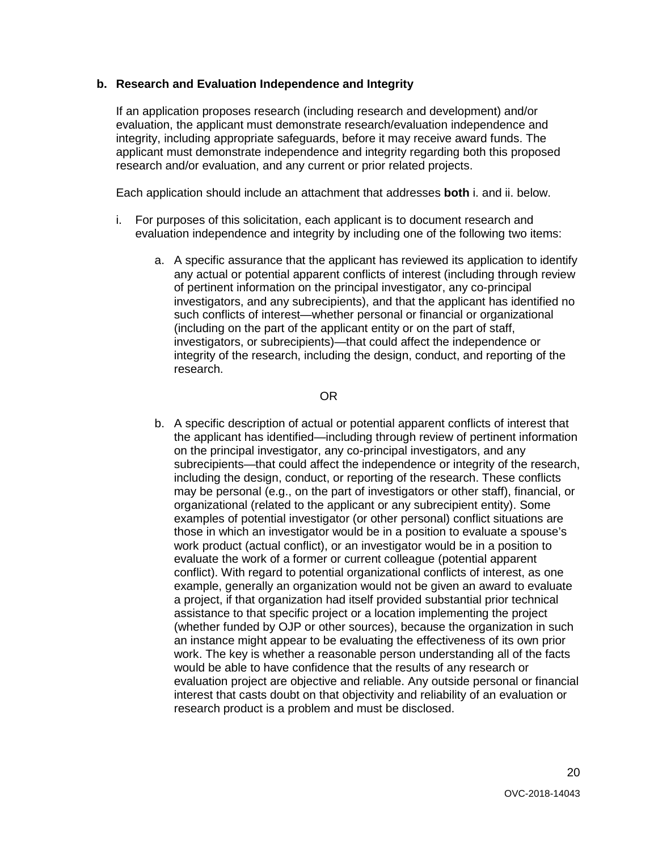## **b. Research and Evaluation Independence and Integrity**

 If an application proposes research (including research and development) and/or integrity, including appropriate safeguards, before it may receive award funds. The evaluation, the applicant must demonstrate research/evaluation independence and applicant must demonstrate independence and integrity regarding both this proposed research and/or evaluation, and any current or prior related projects.

Each application should include an attachment that addresses **both** i. and ii. below.

- i. For purposes of this solicitation, each applicant is to document research and evaluation independence and integrity by including one of the following two items:
	- investigators, and any subrecipients), and that the applicant has identified no (including on the part of the applicant entity or on the part of staff, integrity of the research, including the design, conduct, and reporting of the a. A specific assurance that the applicant has reviewed its application to identify any actual or potential apparent conflicts of interest (including through review of pertinent information on the principal investigator, any co-principal such conflicts of interest—whether personal or financial or organizational investigators, or subrecipients)—that could affect the independence or research.

OR

 b. A specific description of actual or potential apparent conflicts of interest that a project, if that organization had itself provided substantial prior technical assistance to that specific project or a location implementing the project work. The key is whether a reasonable person understanding all of the facts evaluation project are objective and reliable. Any outside personal or financial the applicant has identified—including through review of pertinent information on the principal investigator, any co-principal investigators, and any subrecipients—that could affect the independence or integrity of the research, including the design, conduct, or reporting of the research. These conflicts may be personal (e.g., on the part of investigators or other staff), financial, or organizational (related to the applicant or any subrecipient entity). Some examples of potential investigator (or other personal) conflict situations are those in which an investigator would be in a position to evaluate a spouse's work product (actual conflict), or an investigator would be in a position to evaluate the work of a former or current colleague (potential apparent conflict). With regard to potential organizational conflicts of interest, as one example, generally an organization would not be given an award to evaluate (whether funded by OJP or other sources), because the organization in such an instance might appear to be evaluating the effectiveness of its own prior would be able to have confidence that the results of any research or interest that casts doubt on that objectivity and reliability of an evaluation or research product is a problem and must be disclosed.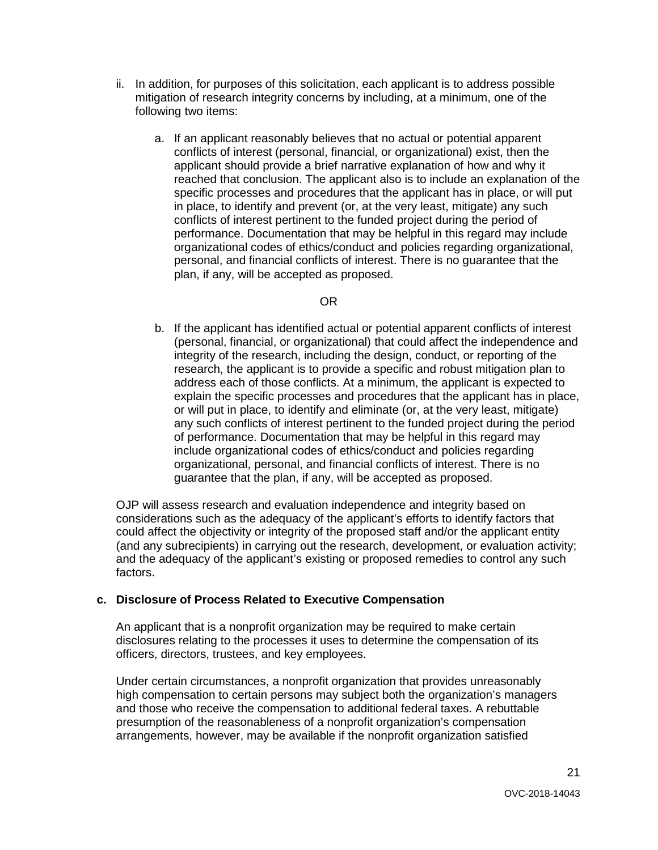- ii. In addition, for purposes of this solicitation, each applicant is to address possible mitigation of research integrity concerns by including, at a minimum, one of the following two items:
	- a. If an applicant reasonably believes that no actual or potential apparent conflicts of interest (personal, financial, or organizational) exist, then the applicant should provide a brief narrative explanation of how and why it reached that conclusion. The applicant also is to include an explanation of the specific processes and procedures that the applicant has in place, or will put in place, to identify and prevent (or, at the very least, mitigate) any such conflicts of interest pertinent to the funded project during the period of performance. Documentation that may be helpful in this regard may include organizational codes of ethics/conduct and policies regarding organizational, personal, and financial conflicts of interest. There is no guarantee that the plan, if any, will be accepted as proposed.

#### OR

 address each of those conflicts. At a minimum, the applicant is expected to or will put in place, to identify and eliminate (or, at the very least, mitigate) of performance. Documentation that may be helpful in this regard may organizational, personal, and financial conflicts of interest. There is no b. If the applicant has identified actual or potential apparent conflicts of interest (personal, financial, or organizational) that could affect the independence and integrity of the research, including the design, conduct, or reporting of the research, the applicant is to provide a specific and robust mitigation plan to explain the specific processes and procedures that the applicant has in place, any such conflicts of interest pertinent to the funded project during the period include organizational codes of ethics/conduct and policies regarding guarantee that the plan, if any, will be accepted as proposed.

 considerations such as the adequacy of the applicant's efforts to identify factors that could affect the objectivity or integrity of the proposed staff and/or the applicant entity factors. OJP will assess research and evaluation independence and integrity based on (and any subrecipients) in carrying out the research, development, or evaluation activity; and the adequacy of the applicant's existing or proposed remedies to control any such

## **c. Disclosure of Process Related to Executive Compensation**

 officers, directors, trustees, and key employees. An applicant that is a nonprofit organization may be required to make certain disclosures relating to the processes it uses to determine the compensation of its

 and those who receive the compensation to additional federal taxes. A rebuttable Under certain circumstances, a nonprofit organization that provides unreasonably high compensation to certain persons may subject both the organization's managers presumption of the reasonableness of a nonprofit organization's compensation arrangements, however, may be available if the nonprofit organization satisfied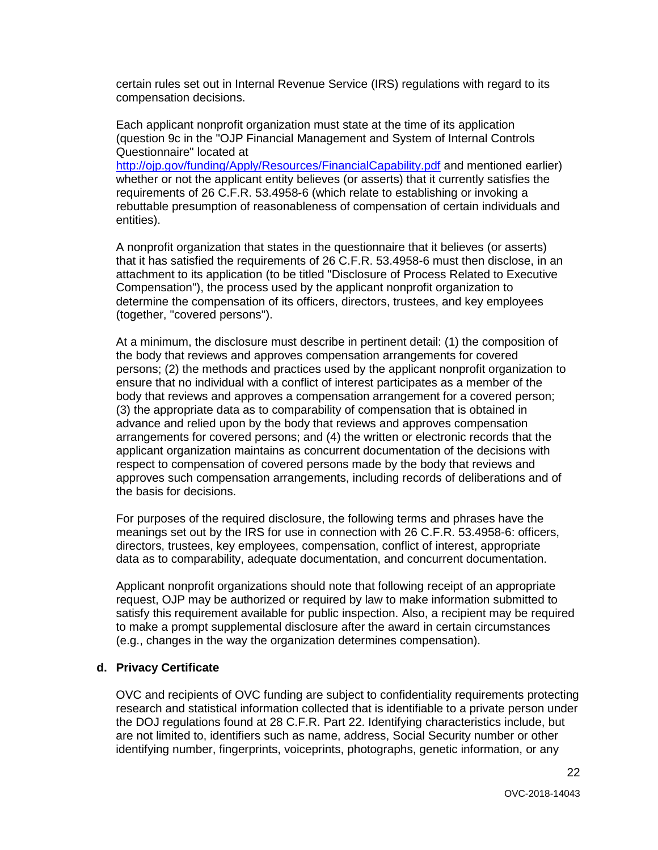certain rules set out in Internal Revenue Service (IRS) regulations with regard to its compensation decisions.

 Each applicant nonprofit organization must state at the time of its application (question 9c in the "OJP Financial Management and System of Internal Controls Questionnaire" located at

<http://ojp.gov/funding/Apply/Resources/FinancialCapability.pdf>and mentioned earlier) whether or not the applicant entity believes (or asserts) that it currently satisfies the requirements of 26 C.F.R. 53.4958-6 (which relate to establishing or invoking a rebuttable presumption of reasonableness of compensation of certain individuals and entities).

 A nonprofit organization that states in the questionnaire that it believes (or asserts) that it has satisfied the requirements of 26 C.F.R. 53.4958-6 must then disclose, in an attachment to its application (to be titled "Disclosure of Process Related to Executive Compensation"), the process used by the applicant nonprofit organization to determine the compensation of its officers, directors, trustees, and key employees (together, "covered persons").

 the body that reviews and approves compensation arrangements for covered ensure that no individual with a conflict of interest participates as a member of the arrangements for covered persons; and (4) the written or electronic records that the At a minimum, the disclosure must describe in pertinent detail: (1) the composition of persons; (2) the methods and practices used by the applicant nonprofit organization to body that reviews and approves a compensation arrangement for a covered person; (3) the appropriate data as to comparability of compensation that is obtained in advance and relied upon by the body that reviews and approves compensation applicant organization maintains as concurrent documentation of the decisions with respect to compensation of covered persons made by the body that reviews and approves such compensation arrangements, including records of deliberations and of the basis for decisions.

For purposes of the required disclosure, the following terms and phrases have the meanings set out by the IRS for use in connection with 26 C.F.R. 53.4958-6: officers, directors, trustees, key employees, compensation, conflict of interest, appropriate data as to comparability, adequate documentation, and concurrent documentation.

Applicant nonprofit organizations should note that following receipt of an appropriate request, OJP may be authorized or required by law to make information submitted to satisfy this requirement available for public inspection. Also, a recipient may be required to make a prompt supplemental disclosure after the award in certain circumstances (e.g., changes in the way the organization determines compensation).

#### **d. Privacy Certificate**

 the DOJ regulations found at 28 C.F.R. Part 22. Identifying characteristics include, but OVC and recipients of OVC funding are subject to confidentiality requirements protecting research and statistical information collected that is identifiable to a private person under are not limited to, identifiers such as name, address, Social Security number or other identifying number, fingerprints, voiceprints, photographs, genetic information, or any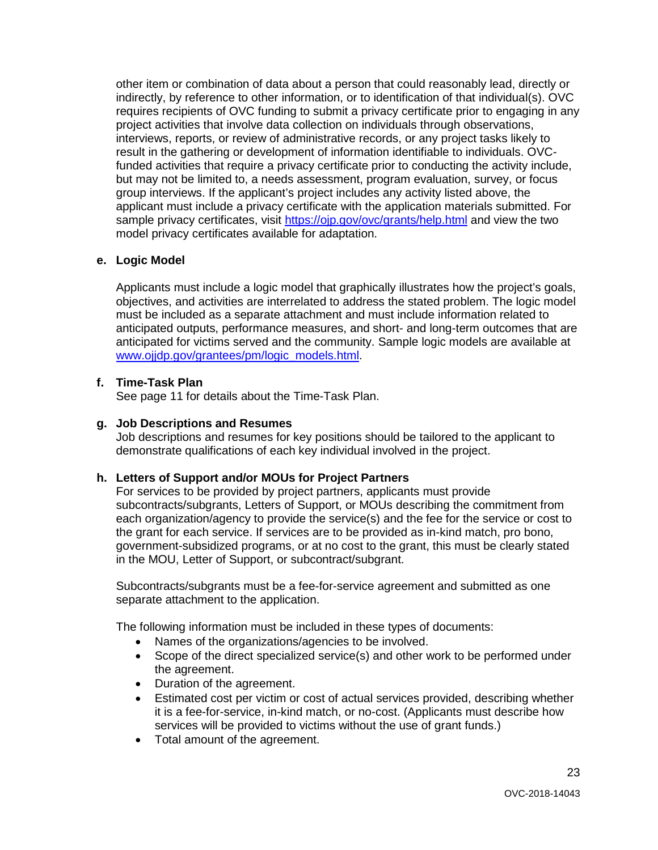requires recipients of OVC funding to submit a privacy certificate prior to engaging in any funded activities that require a privacy certificate prior to conducting the activity include, but may not be limited to, a needs assessment, program evaluation, survey, or focus other item or combination of data about a person that could reasonably lead, directly or indirectly, by reference to other information, or to identification of that individual(s). OVC project activities that involve data collection on individuals through observations, interviews, reports, or review of administrative records, or any project tasks likely to result in the gathering or development of information identifiable to individuals. OVCgroup interviews. If the applicant's project includes any activity listed above, the applicant must include a privacy certificate with the application materials submitted. For sample privacy certificates, visit<https://ojp.gov/ovc/grants/help.html>and view the two model privacy certificates available for adaptation.

## **e. Logic Model**

 Applicants must include a logic model that graphically illustrates how the project's goals, objectives, and activities are interrelated to address the stated problem. The logic model must be included as a separate attachment and must include information related to anticipated outputs, performance measures, and short- and long-term outcomes that are anticipated for victims served and the community. Sample logic models are available at www.ojidp.gov/grantees/pm/logic\_models.html.

#### **f. Time-Task Plan**

See page 11 for details about the Time-Task Plan.

# **g. Job Descriptions and Resumes**

 Job descriptions and resumes for key positions should be tailored to the applicant to demonstrate qualifications of each key individual involved in the project.

#### **h. Letters of Support and/or MOUs for Project Partners**

 subcontracts/subgrants, Letters of Support, or MOUs describing the commitment from each organization/agency to provide the service(s) and the fee for the service or cost to the grant for each service. If services are to be provided as in-kind match, pro bono, in the MOU, Letter of Support, or subcontract/subgrant. For services to be provided by project partners, applicants must provide government-subsidized programs, or at no cost to the grant, this must be clearly stated

Subcontracts/subgrants must be a fee-for-service agreement and submitted as one separate attachment to the application.

The following information must be included in these types of documents:

- Names of the organizations/agencies to be involved.
- Scope of the direct specialized service(s) and other work to be performed under the agreement.
- Duration of the agreement.
- services will be provided to victims without the use of grant funds.) • Estimated cost per victim or cost of actual services provided, describing whether it is a fee-for-service, in-kind match, or no-cost. (Applicants must describe how
- Total amount of the agreement.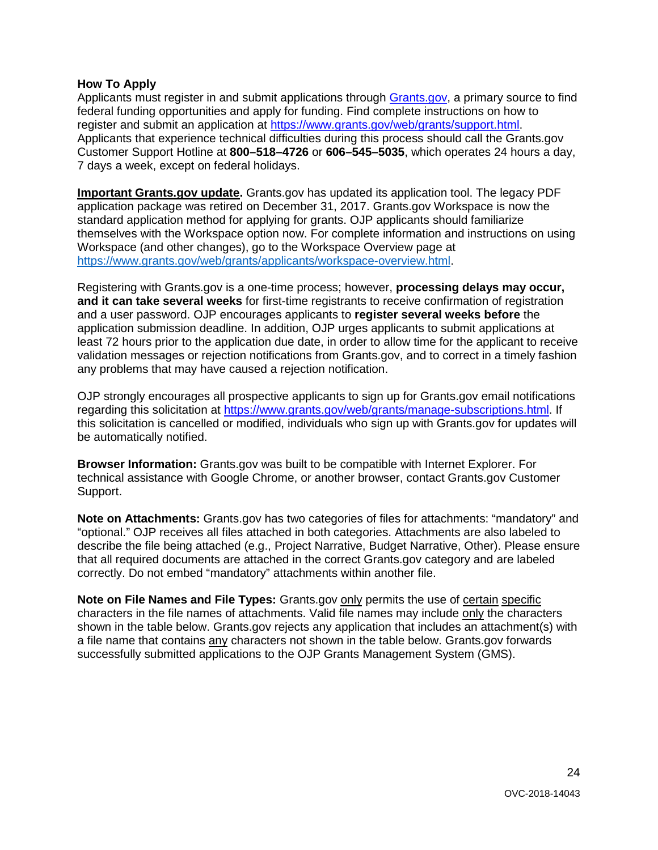## <span id="page-23-0"></span> **How To Apply**

Applicants must register in and submit applications through [Grants.gov,](https://www.grants.gov/) a primary source to find federal funding opportunities and apply for funding. Find complete instructions on how to 7 days a week, except on federal holidays. register and submit an application at [https://www.grants.gov/web/grants/support.html.](https://www.grants.gov/web/grants/support.html) Applicants that experience technical difficulties during this process should call the Grants.gov Customer Support Hotline at **800–518–4726** or **606–545–5035**, which operates 24 hours a day,

 application package was retired on December 31, 2017. Grants.gov Workspace is now the standard application method for applying for grants. OJP applicants should familiarize **Important Grants.gov update.** Grants.gov has updated its application tool. The legacy PDF themselves with the Workspace option now. For complete information and instructions on using Workspace (and other changes), go to the Workspace Overview page at [https://www.grants.gov/web/grants/applicants/workspace-overview.html.](https://www.grants.gov/web/grants/applicants/workspace-overview.html)

 validation messages or rejection notifications from Grants.gov, and to correct in a timely fashion Registering with Grants.gov is a one-time process; however, **processing delays may occur, and it can take several weeks** for first-time registrants to receive confirmation of registration and a user password. OJP encourages applicants to **register several weeks before** the application submission deadline. In addition, OJP urges applicants to submit applications at least 72 hours prior to the application due date, in order to allow time for the applicant to receive any problems that may have caused a rejection notification.

OJP strongly encourages all prospective applicants to sign up for Grants.gov email notifications regarding this solicitation at [https://www.grants.gov/web/grants/manage-subscriptions.html.](https://www.grants.gov/web/grants/manage-subscriptions.html) If this solicitation is cancelled or modified, individuals who sign up with Grants.gov for updates will be automatically notified.

**Browser Information:** Grants.gov was built to be compatible with Internet Explorer. For technical assistance with Google Chrome, or another browser, contact Grants.gov Customer Support.

 **Note on Attachments:** Grants.gov has two categories of files for attachments: "mandatory" and that all required documents are attached in the correct Grants.gov category and are labeled "optional." OJP receives all files attached in both categories. Attachments are also labeled to describe the file being attached (e.g., Project Narrative, Budget Narrative, Other). Please ensure correctly. Do not embed "mandatory" attachments within another file.

**Note on File Names and File Types:** Grants.gov **only permits the use of certain specific** characters in the file names of attachments. Valid file names may include only the characters shown in the table below. Grants.gov rejects any application that includes an attachment(s) with a file name that contains **any characters not shown in the table below**. Grants.gov forwards successfully submitted applications to the OJP Grants Management System (GMS).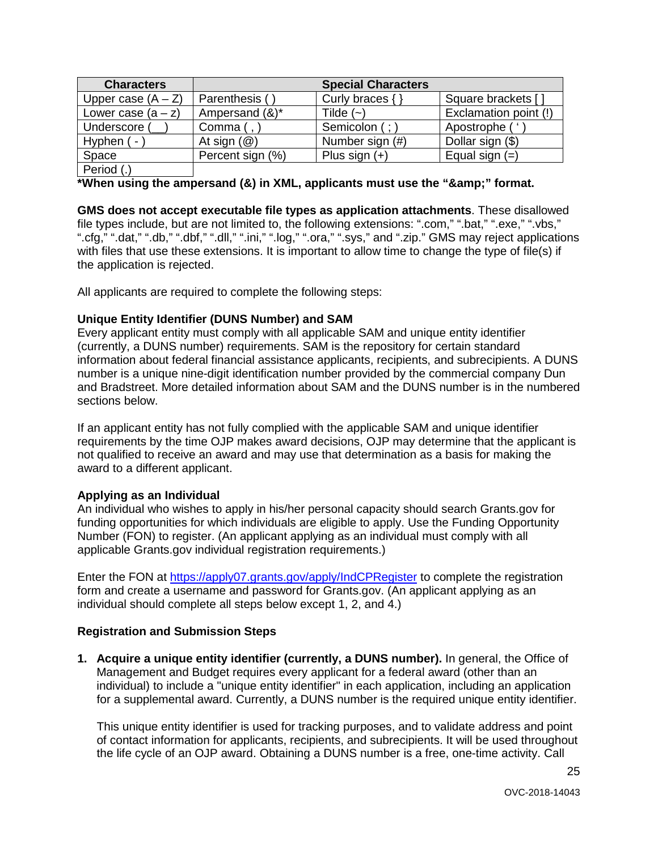| <b>Characters</b>    |                         | <b>Special Characters</b> |                       |
|----------------------|-------------------------|---------------------------|-----------------------|
| Upper case $(A - Z)$ | Parenthesis (           | Curly braces $\{ \}$      | Square brackets [     |
| Lower case $(a - z)$ | Ampersand (&)*          | Tilde $(-)$               | Exclamation point (!) |
| Underscore (         | Comma (,                | Semicolon (; )            | Apostrophe (          |
| Hyphen ( -           | At sign $(\mathcal{Q})$ | Number sign (#)           | Dollar sign (\$)      |
| Space                | Percent sign (%)        | Plus sign $(+)$           | Equal sign $(=)$      |
| Period (.)           |                         |                           |                       |

\*When using the ampersand (&) in XML, applicants must use the "&" format.

 file types include, but are not limited to, the following extensions: ".com," ".bat," ".exe," ".vbs," ".cfg," ".dat," ".db," ".dbf," ".dll," ".ini," ".log," ".ora," ".sys," and ".zip." GMS may reject applications with files that use these extensions. It is important to allow time to change the type of file(s) if **GMS does not accept executable file types as application attachments**. These disallowed the application is rejected.

All applicants are required to complete the following steps:

## **Unique Entity Identifier (DUNS Number) and SAM**

 Every applicant entity must comply with all applicable SAM and unique entity identifier information about federal financial assistance applicants, recipients, and subrecipients. A DUNS sections below. (currently, a DUNS number) requirements. SAM is the repository for certain standard number is a unique nine-digit identification number provided by the commercial company Dun and Bradstreet. More detailed information about SAM and the DUNS number is in the numbered

 If an applicant entity has not fully complied with the applicable SAM and unique identifier not qualified to receive an award and may use that determination as a basis for making the requirements by the time OJP makes award decisions, OJP may determine that the applicant is award to a different applicant.

#### **Applying as an Individual**

 An individual who wishes to apply in his/her personal capacity should search Grants.gov for Number (FON) to register. (An applicant applying as an individual must comply with all funding opportunities for which individuals are eligible to apply. Use the Funding Opportunity applicable Grants.gov individual registration requirements.)

Enter the FON at<https://apply07.grants.gov/apply/IndCPRegister>to complete the registration individual should complete all steps below except 1, 2, and 4.) form and create a username and password for Grants.gov. (An applicant applying as an

#### **Registration and Submission Steps**

 Management and Budget requires every applicant for a federal award (other than an individual) to include a "unique entity identifier" in each application, including an application **1. Acquire a unique entity identifier (currently, a DUNS number).** In general, the Office of for a supplemental award. Currently, a DUNS number is the required unique entity identifier.

This unique entity identifier is used for tracking purposes, and to validate address and point of contact information for applicants, recipients, and subrecipients. It will be used throughout the life cycle of an OJP award. Obtaining a DUNS number is a free, one-time activity. Call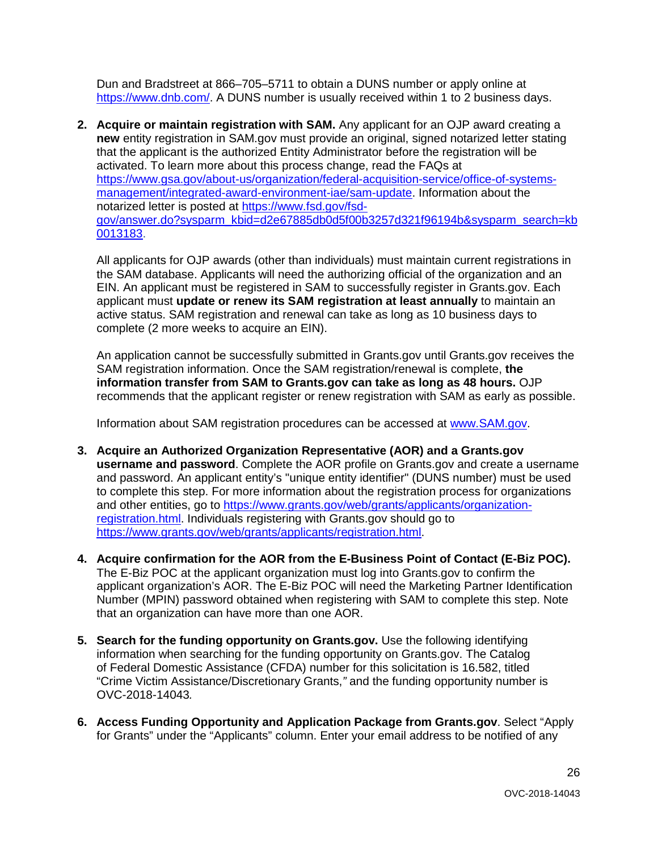Dun and Bradstreet at 866–705–5711 to obtain a DUNS number or apply online at [https://www.dnb.com/.](https://www.dnb.com/) A DUNS number is usually received within 1 to 2 business days.

 **new** entity registration in SAM.gov must provide an original, signed notarized letter stating activated. To learn more about this process change, read the FAQs at **2. Acquire or maintain registration with SAM.** Any applicant for an OJP award creating a that the applicant is the authorized Entity Administrator before the registration will be [https://www.gsa.gov/about-us/organization/federal-acquisition-service/office-of-systems](https://www.gsa.gov/about-us/organization/federal-acquisition-service/office-of-systems-management/integrated-award-environment-iae/sam-update)[management/integrated-award-environment-iae/sam-update.](https://www.gsa.gov/about-us/organization/federal-acquisition-service/office-of-systems-management/integrated-award-environment-iae/sam-update) Information about the notarized letter is posted at [https://www.fsd.gov/fsd](https://www.fsd.gov/fsd-gov/answer.do?sysparm_kbid=d2e67885db0d5f00b3257d321f96194b&sysparm_search=kb0013183)[gov/answer.do?sysparm\\_kbid=d2e67885db0d5f00b3257d321f96194b&sysparm\\_search=kb](https://www.fsd.gov/fsd-gov/answer.do?sysparm_kbid=d2e67885db0d5f00b3257d321f96194b&sysparm_search=kb0013183)  [0013183.](https://www.fsd.gov/fsd-gov/answer.do?sysparm_kbid=d2e67885db0d5f00b3257d321f96194b&sysparm_search=kb0013183)

 applicant must **update or renew its SAM registration at least annually** to maintain an All applicants for OJP awards (other than individuals) must maintain current registrations in the SAM database. Applicants will need the authorizing official of the organization and an EIN. An applicant must be registered in SAM to successfully register in Grants.gov. Each active status. SAM registration and renewal can take as long as 10 business days to complete (2 more weeks to acquire an EIN).

 An application cannot be successfully submitted in Grants.gov until Grants.gov receives the SAM registration information. Once the SAM registration/renewal is complete, **the information transfer from SAM to Grants.gov can take as long as 48 hours.** OJP recommends that the applicant register or renew registration with SAM as early as possible.

Information about SAM registration procedures can be accessed at [www.SAM.gov.](https://www.sam.gov/)

- to complete this step. For more information about the registration process for organizations **3. Acquire an Authorized Organization Representative (AOR) and a Grants.gov username and password**. Complete the AOR profile on Grants.gov and create a username and password. An applicant entity's "unique entity identifier" (DUNS number) must be used and other entities, go to [https://www.grants.gov/web/grants/applicants/organization](https://www.grants.gov/web/grants/applicants/organization-registration.html)[registration.html.](https://www.grants.gov/web/grants/applicants/organization-registration.html) Individuals registering with Grants.gov should go to [https://www.grants.gov/web/grants/applicants/registration.html.](https://www.grants.gov/web/grants/applicants/registration.html)
- Number (MPIN) password obtained when registering with SAM to complete this step. Note **4. Acquire confirmation for the AOR from the E-Business Point of Contact (E-Biz POC).**  The E-Biz POC at the applicant organization must log into Grants.gov to confirm the applicant organization's AOR. The E-Biz POC will need the Marketing Partner Identification that an organization can have more than one AOR.
- **5. Search for the funding opportunity on Grants.gov.** Use the following identifying information when searching for the funding opportunity on Grants.gov. The Catalog of Federal Domestic Assistance (CFDA) number for this solicitation is 16.582, titled "Crime Victim Assistance/Discretionary Grants,*"* and the funding opportunity number is OVC-2018-14043*.*
- **6. Access Funding Opportunity and Application Package from Grants.gov**. Select "Apply for Grants" under the "Applicants" column. Enter your email address to be notified of any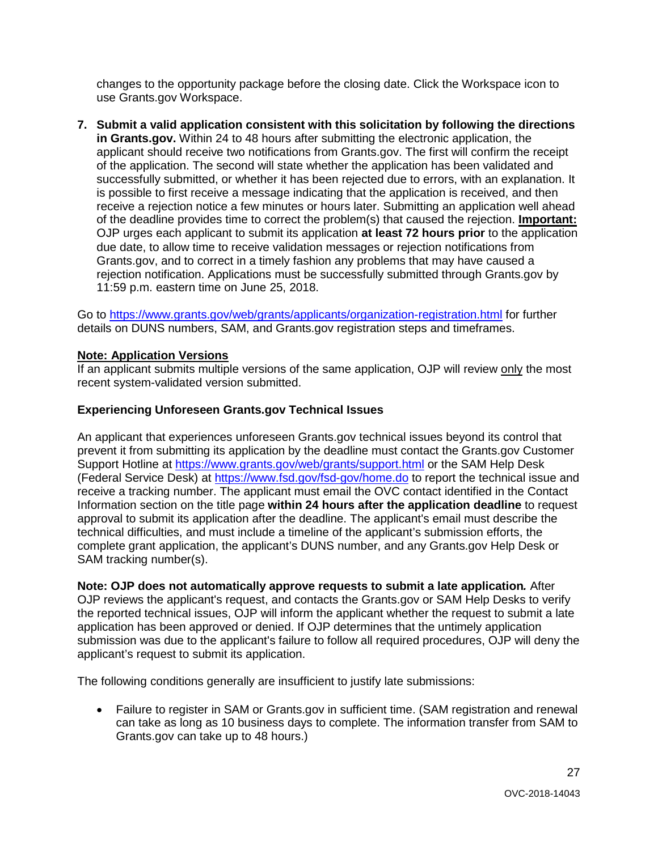changes to the opportunity package before the closing date. Click the Workspace icon to use Grants.gov Workspace.

 **in Grants.gov.** Within 24 to 48 hours after submitting the electronic application, the is possible to first receive a message indicating that the application is received, and then **7. Submit a valid application consistent with this solicitation by following the directions** applicant should receive two notifications from Grants.gov. The first will confirm the receipt of the application. The second will state whether the application has been validated and successfully submitted, or whether it has been rejected due to errors, with an explanation. It receive a rejection notice a few minutes or hours later. Submitting an application well ahead of the deadline provides time to correct the problem(s) that caused the rejection. **Important:**  OJP urges each applicant to submit its application **at least 72 hours prior** to the application due date, to allow time to receive validation messages or rejection notifications from Grants.gov, and to correct in a timely fashion any problems that may have caused a rejection notification. Applications must be successfully submitted through Grants.gov by 11:59 p.m. eastern time on June 25, 2018.

Go to<https://www.grants.gov/web/grants/applicants/organization-registration.html>for further details on DUNS numbers, SAM, and Grants.gov registration steps and timeframes.

## **Note: Application Versions**

 recent system-validated version submitted. If an applicant submits multiple versions of the same application, OJP will review only the most

# **Experiencing Unforeseen Grants.gov Technical Issues**

 prevent it from submitting its application by the deadline must contact the Grants.gov Customer (Federal Service Desk) at<https://www.fsd.gov/fsd-gov/home.do>to report the technical issue and receive a tracking number. The applicant must email the OVC contact identified in the Contact SAM tracking number(s). An applicant that experiences unforeseen Grants.gov technical issues beyond its control that Support Hotline at<https://www.grants.gov/web/grants/support.html>or the SAM Help Desk Information section on the title page **within 24 hours after the application deadline** to request approval to submit its application after the deadline. The applicant's email must describe the technical difficulties, and must include a timeline of the applicant's submission efforts, the complete grant application, the applicant's DUNS number, and any Grants.gov Help Desk or

 **Note: OJP does not automatically approve requests to submit a late application***.* After OJP reviews the applicant's request, and contacts the Grants.gov or SAM Help Desks to verify application has been approved or denied. If OJP determines that the untimely application applicant's request to submit its application. the reported technical issues, OJP will inform the applicant whether the request to submit a late submission was due to the applicant's failure to follow all required procedures, OJP will deny the

The following conditions generally are insufficient to justify late submissions:

 can take as long as 10 business days to complete. The information transfer from SAM to • Failure to register in SAM or Grants.gov in sufficient time. (SAM registration and renewal Grants.gov can take up to 48 hours.)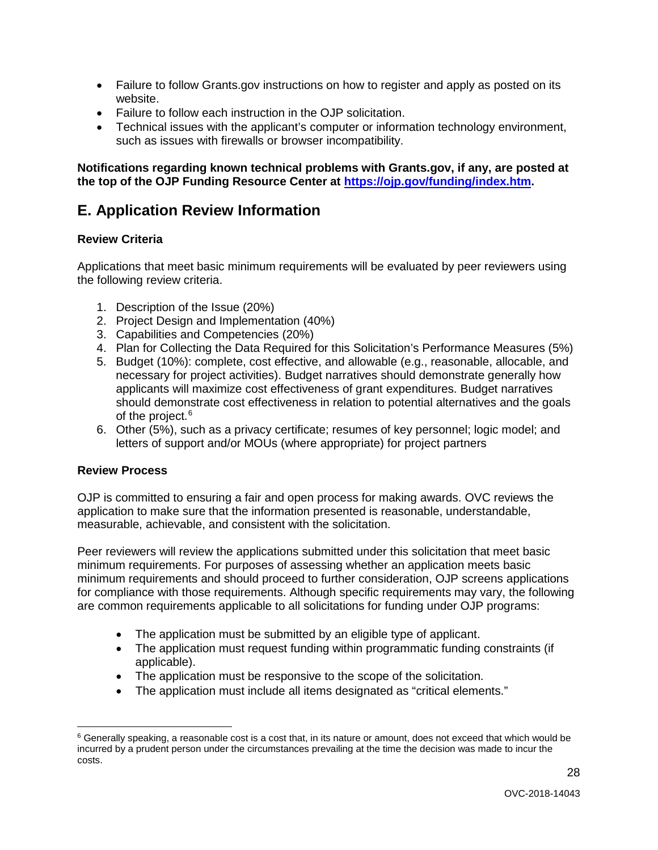- Failure to follow Grants.gov instructions on how to register and apply as posted on its website.
- Failure to follow each instruction in the OJP solicitation.
- such as issues with firewalls or browser incompatibility. • Technical issues with the applicant's computer or information technology environment,

 **the top of the OJP Funding Resource Center at [https://ojp.gov/funding/index.htm.](https://ojp.gov/funding/index.htm) Notifications regarding known technical problems with Grants.gov, if any, are posted at**

# <span id="page-27-0"></span>**E. Application Review Information**

#### <span id="page-27-1"></span> **Review Criteria**

Applications that meet basic minimum requirements will be evaluated by peer reviewers using the following review criteria.

- 1. Description of the Issue (20%)
- 2. Project Design and Implementation (40%)
- 3. Capabilities and Competencies (20%)
- 4. Plan for Collecting the Data Required for this Solicitation's Performance Measures (5%)
- 5. Budget (10%): complete, cost effective, and allowable (e.g., reasonable, allocable, and necessary for project activities). Budget narratives should demonstrate generally how should demonstrate cost effectiveness in relation to potential alternatives and the goals of the project. [6](#page-27-3) applicants will maximize cost effectiveness of grant expenditures. Budget narratives
- 6. Other (5%), such as a privacy certificate; resumes of key personnel; logic model; and letters of support and/or MOUs (where appropriate) for project partners

#### <span id="page-27-2"></span>**Review Process**

 OJP is committed to ensuring a fair and open process for making awards. OVC reviews the application to make sure that the information presented is reasonable, understandable, measurable, achievable, and consistent with the solicitation.

 Peer reviewers will review the applications submitted under this solicitation that meet basic for compliance with those requirements. Although specific requirements may vary, the following are common requirements applicable to all solicitations for funding under OJP programs: minimum requirements. For purposes of assessing whether an application meets basic minimum requirements and should proceed to further consideration, OJP screens applications

- The application must be submitted by an eligible type of applicant.
- • The application must request funding within programmatic funding constraints (if applicable).
- The application must be responsive to the scope of the solicitation.
- The application must include all items designated as "critical elements."

<span id="page-27-3"></span> $\ddot{\phantom{a}}$  $6$  Generally speaking, a reasonable cost is a cost that, in its nature or amount, does not exceed that which would be incurred by a prudent person under the circumstances prevailing at the time the decision was made to incur the costs. 28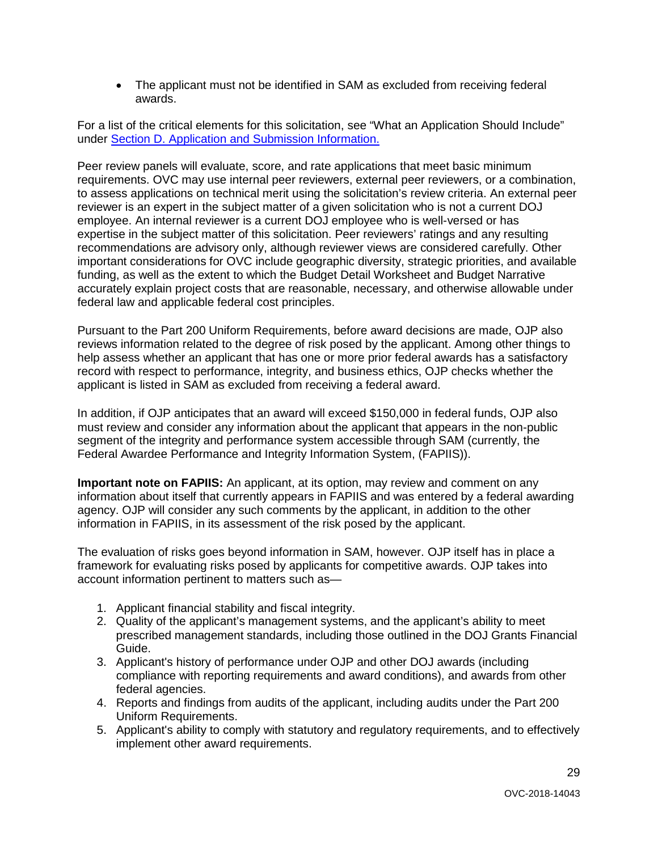• The applicant must not be identified in SAM as excluded from receiving federal awards.

For a list of the critical elements for this solicitation, see "What an Application Should Include" under [Section D. Application and Submission Information.](#page-8-0) 

 to assess applications on technical merit using the solicitation's review criteria. An external peer reviewer is an expert in the subject matter of a given solicitation who is not a current DOJ Peer review panels will evaluate, score, and rate applications that meet basic minimum requirements. OVC may use internal peer reviewers, external peer reviewers, or a combination, employee. An internal reviewer is a current DOJ employee who is well-versed or has expertise in the subject matter of this solicitation. Peer reviewers' ratings and any resulting recommendations are advisory only, although reviewer views are considered carefully. Other important considerations for OVC include geographic diversity, strategic priorities, and available funding, as well as the extent to which the Budget Detail Worksheet and Budget Narrative accurately explain project costs that are reasonable, necessary, and otherwise allowable under federal law and applicable federal cost principles.

Pursuant to the Part 200 Uniform Requirements, before award decisions are made, OJP also reviews information related to the degree of risk posed by the applicant. Among other things to help assess whether an applicant that has one or more prior federal awards has a satisfactory record with respect to performance, integrity, and business ethics, OJP checks whether the applicant is listed in SAM as excluded from receiving a federal award.

 Federal Awardee Performance and Integrity Information System, (FAPIIS)). In addition, if OJP anticipates that an award will exceed \$150,000 in federal funds, OJP also must review and consider any information about the applicant that appears in the non-public segment of the integrity and performance system accessible through SAM (currently, the

 **Important note on FAPIIS:** An applicant, at its option, may review and comment on any information about itself that currently appears in FAPIIS and was entered by a federal awarding agency. OJP will consider any such comments by the applicant, in addition to the other information in FAPIIS, in its assessment of the risk posed by the applicant.

 The evaluation of risks goes beyond information in SAM, however. OJP itself has in place a framework for evaluating risks posed by applicants for competitive awards. OJP takes into account information pertinent to matters such as—

- 1. Applicant financial stability and fiscal integrity.
- 2. Quality of the applicant's management systems, and the applicant's ability to meet prescribed management standards, including those outlined in the DOJ Grants Financial Guide.
- 3. Applicant's history of performance under OJP and other DOJ awards (including compliance with reporting requirements and award conditions), and awards from other federal agencies.
- 4. Reports and findings from audits of the applicant, including audits under the Part 200 Uniform Requirements.
- 5. Applicant's ability to comply with statutory and regulatory requirements, and to effectively implement other award requirements. implement other award requirements.<br>29<br>OVC-2018-14043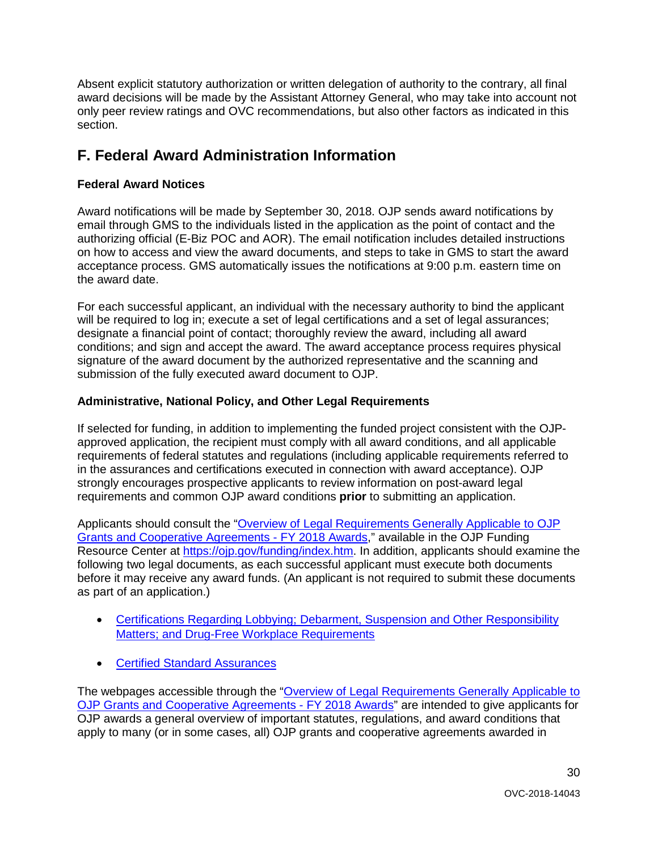only peer review ratings and OVC recommendations, but also other factors as indicated in this Absent explicit statutory authorization or written delegation of authority to the contrary, all final award decisions will be made by the Assistant Attorney General, who may take into account not section.

# <span id="page-29-0"></span>**F. Federal Award Administration Information**

# <span id="page-29-1"></span>**Federal Award Notices**

 on how to access and view the award documents, and steps to take in GMS to start the award the award date. Award notifications will be made by September 30, 2018. OJP sends award notifications by email through GMS to the individuals listed in the application as the point of contact and the authorizing official (E-Biz POC and AOR). The email notification includes detailed instructions acceptance process. GMS automatically issues the notifications at 9:00 p.m. eastern time on

 conditions; and sign and accept the award. The award acceptance process requires physical submission of the fully executed award document to OJP. For each successful applicant, an individual with the necessary authority to bind the applicant will be required to log in; execute a set of legal certifications and a set of legal assurances; designate a financial point of contact; thoroughly review the award, including all award signature of the award document by the authorized representative and the scanning and

# <span id="page-29-2"></span> **Administrative, National Policy, and Other Legal Requirements**

 If selected for funding, in addition to implementing the funded project consistent with the OJPapproved application, the recipient must comply with all award conditions, and all applicable requirements of federal statutes and regulations (including applicable requirements referred to in the assurances and certifications executed in connection with award acceptance). OJP strongly encourages prospective applicants to review information on post-award legal requirements and common OJP award conditions **prior** to submitting an application.

 before it may receive any award funds. (An applicant is not required to submit these documents Applicants should consult the ["Overview of Legal Requirements Generally Applicable to OJP](https://ojp.gov/funding/Explore/LegalOverview/index.htm)  [Grants and Cooperative Agreements -](https://ojp.gov/funding/Explore/LegalOverview/index.htm) FY 2018 Awards," available in the OJP Funding Resource Center at [https://ojp.gov/funding/index.htm.](https://ojp.gov/funding/index.htm) In addition, applicants should examine the following two legal documents, as each successful applicant must execute both documents as part of an application.)

- **Matters; and Drug-Free Workplace Requirements** • Certifications Regarding Lobbying; Debarment, Suspension and Other Responsibility
- **Certified Standard Assurances**

 [OJP Grants and Cooperative Agreements -](https://ojp.gov/funding/Explore/LegalOverview/index.htm) FY 2018 Awards" are intended to give applicants for apply to many (or in some cases, all) OJP grants and cooperative agreements awarded in • Certified Standard Assurances<br>The webpages accessible through the "Overview of Legal Requirements Generally Applicable to OJP awards a general overview of important statutes, regulations, and award conditions that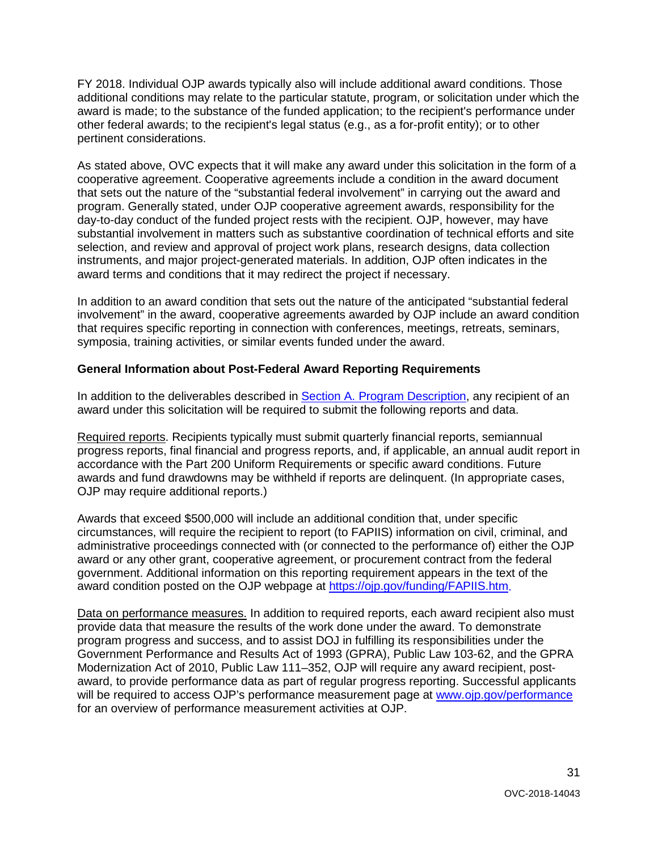FY 2018. Individual OJP awards typically also will include additional award conditions. Those award is made; to the substance of the funded application; to the recipient's performance under other federal awards; to the recipient's legal status (e.g., as a for-profit entity); or to other additional conditions may relate to the particular statute, program, or solicitation under which the pertinent considerations.

 As stated above, OVC expects that it will make any award under this solicitation in the form of a that sets out the nature of the "substantial federal involvement" in carrying out the award and program. Generally stated, under OJP cooperative agreement awards, responsibility for the day-to-day conduct of the funded project rests with the recipient. OJP, however, may have substantial involvement in matters such as substantive coordination of technical efforts and site instruments, and major project-generated materials. In addition, OJP often indicates in the cooperative agreement. Cooperative agreements include a condition in the award document selection, and review and approval of project work plans, research designs, data collection award terms and conditions that it may redirect the project if necessary.

 In addition to an award condition that sets out the nature of the anticipated "substantial federal involvement" in the award, cooperative agreements awarded by OJP include an award condition that requires specific reporting in connection with conferences, meetings, retreats, seminars, symposia, training activities, or similar events funded under the award.

## <span id="page-30-0"></span>**General Information about Post-Federal Award Reporting Requirements**

In addition to the deliverables described in [Section A. Program Description,](#page-3-0) any recipient of an award under this solicitation will be required to submit the following reports and data.

 OJP may require additional reports.) Required reports. Recipients typically must submit quarterly financial reports, semiannual progress reports, final financial and progress reports, and, if applicable, an annual audit report in accordance with the Part 200 Uniform Requirements or specific award conditions. Future awards and fund drawdowns may be withheld if reports are delinquent. (In appropriate cases,

 administrative proceedings connected with (or connected to the performance of) either the OJP award or any other grant, cooperative agreement, or procurement contract from the federal Awards that exceed \$500,000 will include an additional condition that, under specific circumstances, will require the recipient to report (to FAPIIS) information on civil, criminal, and government. Additional information on this reporting requirement appears in the text of the award condition posted on the OJP webpage at [https://ojp.gov/funding/FAPIIS.htm.](https://ojp.gov/funding/FAPIIS.htm)

Data on performance measures. In addition to required reports, each award recipient also must provide data that measure the results of the work done under the award. To demonstrate for an overview of performance measurement activities at OJP. program progress and success, and to assist DOJ in fulfilling its responsibilities under the Government Performance and Results Act of 1993 (GPRA), Public Law 103-62, and the GPRA Modernization Act of 2010, Public Law 111–352, OJP will require any award recipient, postaward, to provide performance data as part of regular progress reporting. Successful applicants will be required to access OJP's performance measurement page at www.ojp.gov/performance for an overview of performance measurement activities at OJP.<br>31<br>OVC-2018-14043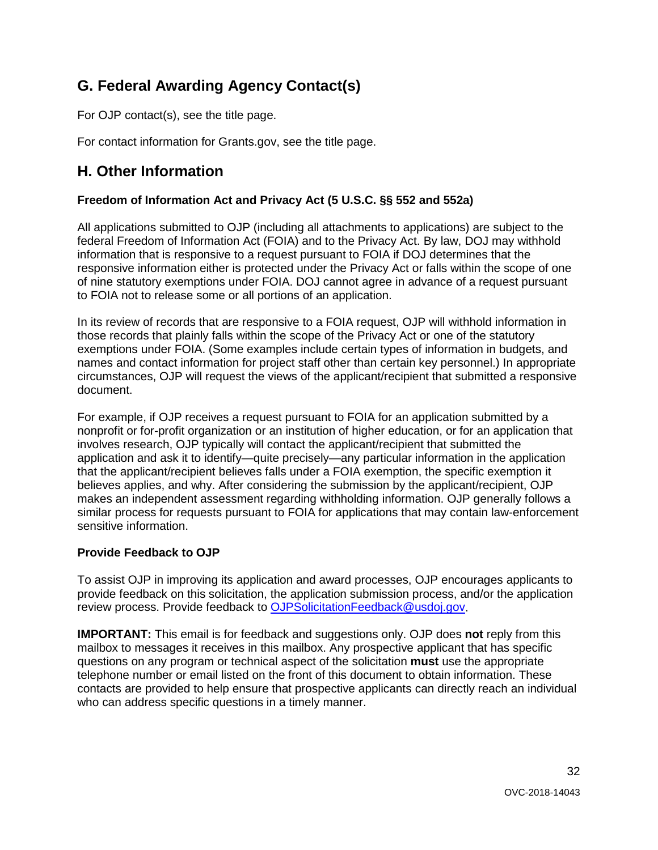# <span id="page-31-0"></span> **G. Federal Awarding Agency Contact(s)**

For OJP contact(s), see the title page.

For contact information for Grants.gov, see the title page.

# <span id="page-31-1"></span> **H. Other Information**

# <span id="page-31-2"></span>**Freedom of Information Act and Privacy Act (5 U.S.C. §§ 552 and 552a)**

 information that is responsive to a request pursuant to FOIA if DOJ determines that the All applications submitted to OJP (including all attachments to applications) are subject to the federal Freedom of Information Act (FOIA) and to the Privacy Act. By law, DOJ may withhold responsive information either is protected under the Privacy Act or falls within the scope of one of nine statutory exemptions under FOIA. DOJ cannot agree in advance of a request pursuant to FOIA not to release some or all portions of an application.

 In its review of records that are responsive to a FOIA request, OJP will withhold information in those records that plainly falls within the scope of the Privacy Act or one of the statutory names and contact information for project staff other than certain key personnel.) In appropriate exemptions under FOIA. (Some examples include certain types of information in budgets, and circumstances, OJP will request the views of the applicant/recipient that submitted a responsive document.

 that the applicant/recipient believes falls under a FOIA exemption, the specific exemption it similar process for requests pursuant to FOIA for applications that may contain law-enforcement For example, if OJP receives a request pursuant to FOIA for an application submitted by a nonprofit or for-profit organization or an institution of higher education, or for an application that involves research, OJP typically will contact the applicant/recipient that submitted the application and ask it to identify—quite precisely—any particular information in the application believes applies, and why. After considering the submission by the applicant/recipient, OJP makes an independent assessment regarding withholding information. OJP generally follows a sensitive information.

# <span id="page-31-3"></span>**Provide Feedback to OJP**

 provide feedback on this solicitation, the application submission process, and/or the application To assist OJP in improving its application and award processes, OJP encourages applicants to review process. Provide feedback to [OJPSolicitationFeedback@usdoj.gov.](mailto:OJPSolicitationFeedback@usdoj.gov)

 **IMPORTANT:** This email is for feedback and suggestions only. OJP does **not** reply from this mailbox to messages it receives in this mailbox. Any prospective applicant that has specific questions on any program or technical aspect of the solicitation **must** use the appropriate telephone number or email listed on the front of this document to obtain information. These who can address specific questions in a timely manner. contacts are provided to help ensure that prospective applicants can directly reach an individual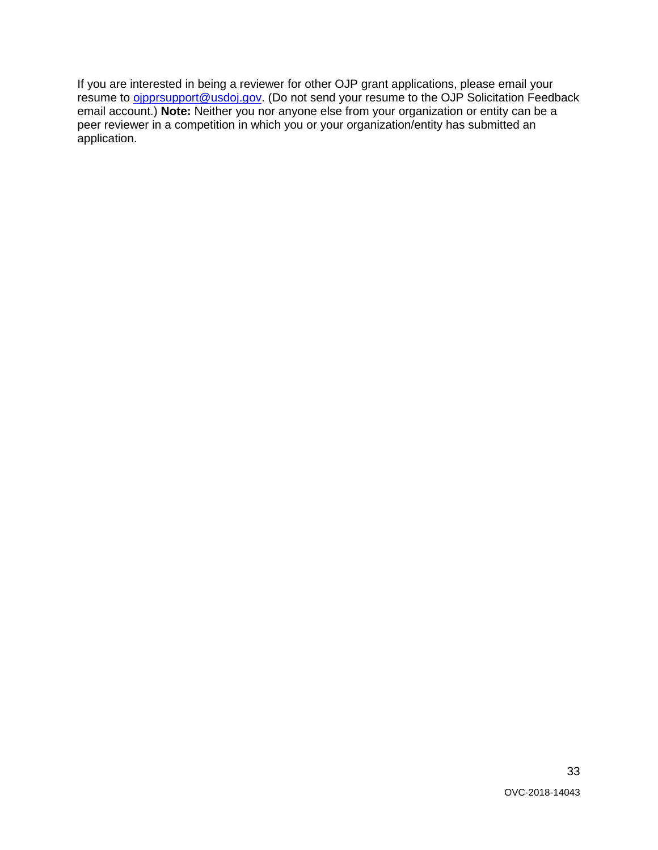$\overline{a}$  peer reviewer in a competition in which you or your organization/entity has submitted an If you are interested in being a reviewer for other OJP grant applications, please email your resume to *oipprsupport@usdoj.gov.* (Do not send your resume to the OJP Solicitation Feedback email account.) **Note:** Neither you nor anyone else from your organization or entity can be a application.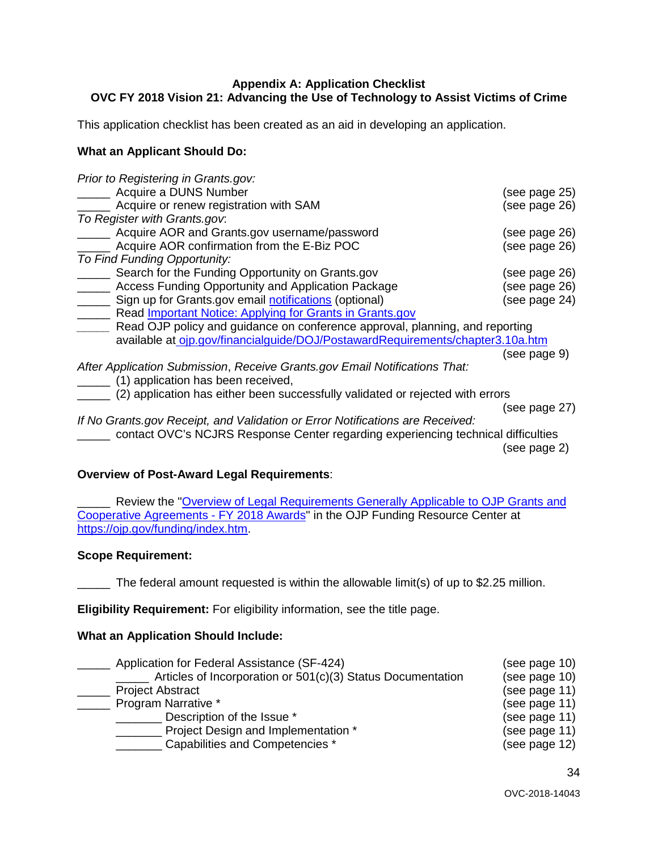#### <span id="page-33-0"></span>**Appendix A: Application Checklist OVC FY 2018 Vision 21: Advancing the Use of Technology to Assist Victims of Crime**

This application checklist has been created as an aid in developing an application.

#### **What an Applicant Should Do:**

| Prior to Registering in Grants.gov:                                               |               |
|-----------------------------------------------------------------------------------|---------------|
| Acquire a DUNS Number                                                             | (see page 25) |
| Acquire or renew registration with SAM                                            | (see page 26) |
| To Register with Grants.gov.                                                      |               |
| Acquire AOR and Grants.gov username/password                                      | (see page 26) |
| Acquire AOR confirmation from the E-Biz POC                                       | (see page 26) |
| To Find Funding Opportunity:                                                      |               |
| Search for the Funding Opportunity on Grants.gov                                  | (see page 26) |
| Access Funding Opportunity and Application Package                                | (see page 26) |
| Sign up for Grants.gov email notifications (optional)                             | (see page 24) |
| Read <i>Important Notice: Applying for Grants in Grants.gov</i>                   |               |
| Read OJP policy and guidance on conference approval, planning, and reporting      |               |
| available at oip.gov/financialguide/DOJ/PostawardRequirements/chapter3.10a.htm    |               |
|                                                                                   | (see page 9)  |
| After Application Submission, Receive Grants.gov Email Notifications That:        |               |
| (1) application has been received,                                                |               |
| (2) application has either been successfully validated or rejected with errors    |               |
|                                                                                   | (see page 27) |
| If No Grants.gov Receipt, and Validation or Error Notifications are Received:     |               |
| contact OVC's NCJRS Response Center regarding experiencing technical difficulties |               |
|                                                                                   | (see page 2)  |

#### **Overview of Post-Award Legal Requirements**:

**No. 2018** Review the "Overview of Legal Requirements Generally Applicable to OJP Grants and [Cooperative Agreements -](https://ojp.gov/funding/Explore/LegalOverview/index.htm) FY 2018 Awards" in the OJP Funding Resource Center at [https://ojp.gov/funding/index.htm.](https://ojp.gov/funding/index.htm)

#### **Scope Requirement:**

\_\_\_\_\_ The federal amount requested is within the allowable limit(s) of up to \$2.25 million.

**Eligibility Requirement:** For eligibility information, see the title page.

# **What an Application Should Include:**

| Application for Federal Assistance (SF-424)                 | (see page 10) |
|-------------------------------------------------------------|---------------|
| Articles of Incorporation or 501(c)(3) Status Documentation | (see page 10) |
| <b>Project Abstract</b>                                     | (see page 11) |
| Program Narrative *                                         | (see page 11) |
| Description of the Issue *                                  | (see page 11) |
| Project Design and Implementation *                         | (see page 11) |
| Capabilities and Competencies *                             | (see page 12) |